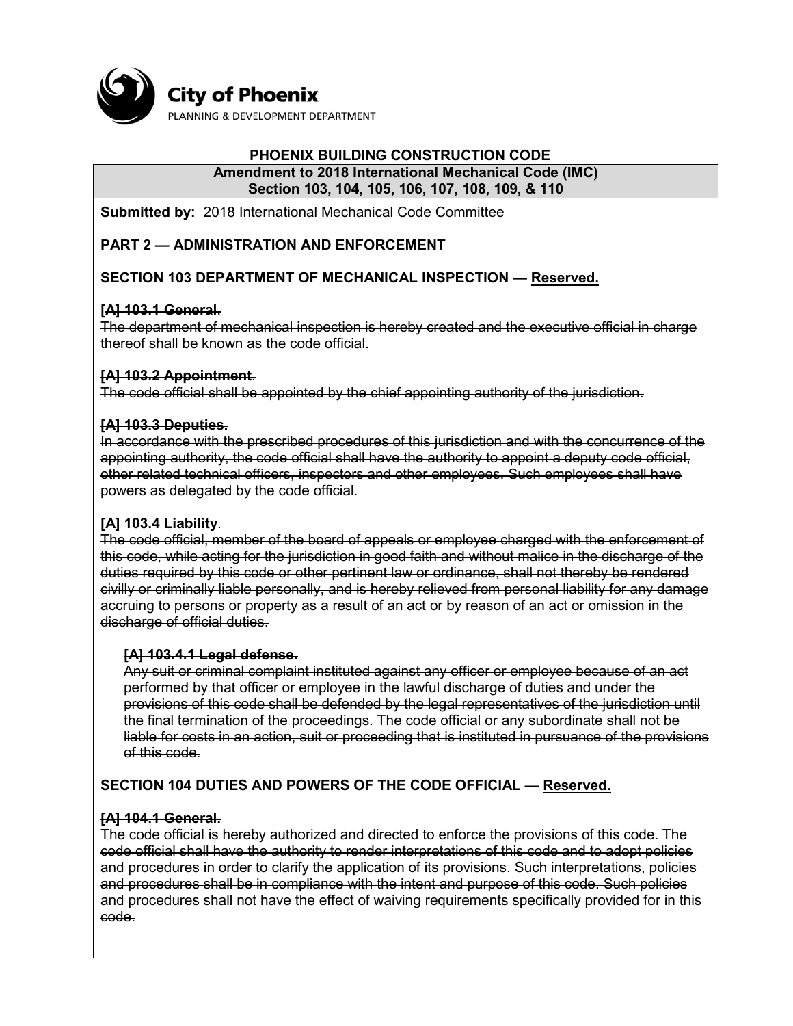

### **PHOENIX BUILDING CONSTRUCTION CODE**

### **Amendment to 2018 International Mechanical Code (IMC) Section 103, 104, 105, 106, 107, 108, 109, & 110**

**Submitted by:** 2018 International Mechanical Code Committee

## **PART 2 — ADMINISTRATION AND ENFORCEMENT**

### **SECTION 103 DEPARTMENT OF MECHANICAL INSPECTION — Reserved.**

### **[A] 103.1 General**.

The department of mechanical inspection is hereby created and the executive official in charge thereof shall be known as the code official.

### **[A] 103.2 Appointment**.

The code official shall be appointed by the chief appointing authority of the jurisdiction.

### **[A] 103.3 Deputies.**

In accordance with the prescribed procedures of this jurisdiction and with the concurrence of the appointing authority, the code official shall have the authority to appoint a deputy code official, other related technical officers, inspectors and other employees. Such employees shall have powers as delegated by the code official.

### **[A] 103.4 Liability**.

The code official, member of the board of appeals or employee charged with the enforcement of this code, while acting for the jurisdiction in good faith and without malice in the discharge of the duties required by this code or other pertinent law or ordinance, shall not thereby be rendered civilly or criminally liable personally, and is hereby relieved from personal liability for any damage accruing to persons or property as a result of an act or by reason of an act or omission in the discharge of official duties.

### **[A] 103.4.1 Legal defense.**

Any suit or criminal complaint instituted against any officer or employee because of an act performed by that officer or employee in the lawful discharge of duties and under the provisions of this code shall be defended by the legal representatives of the jurisdiction until the final termination of the proceedings. The code official or any subordinate shall not be liable for costs in an action, suit or proceeding that is instituted in pursuance of the provisions of this code.

### **SECTION 104 DUTIES AND POWERS OF THE CODE OFFICIAL — Reserved.**

### **[A] 104.1 General.**

The code official is hereby authorized and directed to enforce the provisions of this code. The code official shall have the authority to render interpretations of this code and to adopt policies and procedures in order to clarify the application of its provisions. Such interpretations, policies and procedures shall be in compliance with the intent and purpose of this code. Such policies and procedures shall not have the effect of waiving requirements specifically provided for in this code.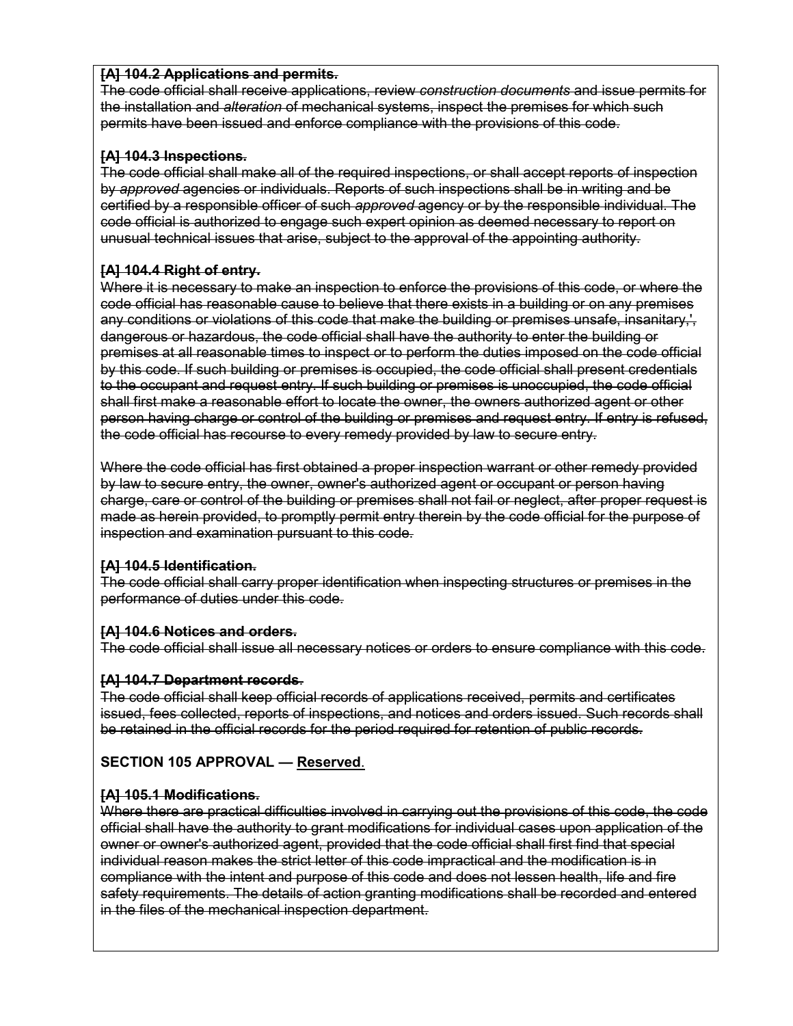### **[A] 104.2 Applications and permits.**

The code official shall receive applications, review *construction documents* and issue permits for the installation and *alteration* of mechanical systems, inspect the premises for which such permits have been issued and enforce compliance with the provisions of this code.

### **[A] 104.3 Inspections.**

The code official shall make all of the required inspections, or shall accept reports of inspection by *approved* agencies or individuals. Reports of such inspections shall be in writing and be certified by a responsible officer of such *approved* agency or by the responsible individual. The code official is authorized to engage such expert opinion as deemed necessary to report on unusual technical issues that arise, subject to the approval of the appointing authority.

### **[A] 104.4 Right of entry.**

Where it is necessary to make an inspection to enforce the provisions of this code, or where the code official has reasonable cause to believe that there exists in a building or on any premises any conditions or violations of this code that make the building or premises unsafe, insanitary, dangerous or hazardous, the code official shall have the authority to enter the building or premises at all reasonable times to inspect or to perform the duties imposed on the code official by this code. If such building or premises is occupied, the code official shall present credentials to the occupant and request entry. If such building or premises is unoccupied, the code official shall first make a reasonable effort to locate the owner, the owners authorized agent or other person having charge or control of the building or premises and request entry. If entry is refused, the code official has recourse to every remedy provided by law to secure entry.

Where the code official has first obtained a proper inspection warrant or other remedy provided by law to secure entry, the owner, owner's authorized agent or occupant or person having charge, care or control of the building or premises shall not fail or neglect, after proper request is made as herein provided, to promptly permit entry therein by the code official for the purpose of inspection and examination pursuant to this code.

### **[A] 104.5 Identification.**

The code official shall carry proper identification when inspecting structures or premises in the performance of duties under this code.

### **[A] 104.6 Notices and orders.**

The code official shall issue all necessary notices or orders to ensure compliance with this code.

### **[A] 104.7 Department records**.

The code official shall keep official records of applications received, permits and certificates issued, fees collected, reports of inspections, and notices and orders issued. Such records shall be retained in the official records for the period required for retention of public records.

### **SECTION 105 APPROVAL — Reserved**.

### **[A] 105.1 Modifications.**

Where there are practical difficulties involved in carrying out the provisions of this code, the code official shall have the authority to grant modifications for individual cases upon application of the owner or owner's authorized agent, provided that the code official shall first find that special individual reason makes the strict letter of this code impractical and the modification is in compliance with the intent and purpose of this code and does not lessen health, life and fire safety requirements. The details of action granting modifications shall be recorded and entered in the files of the mechanical inspection department.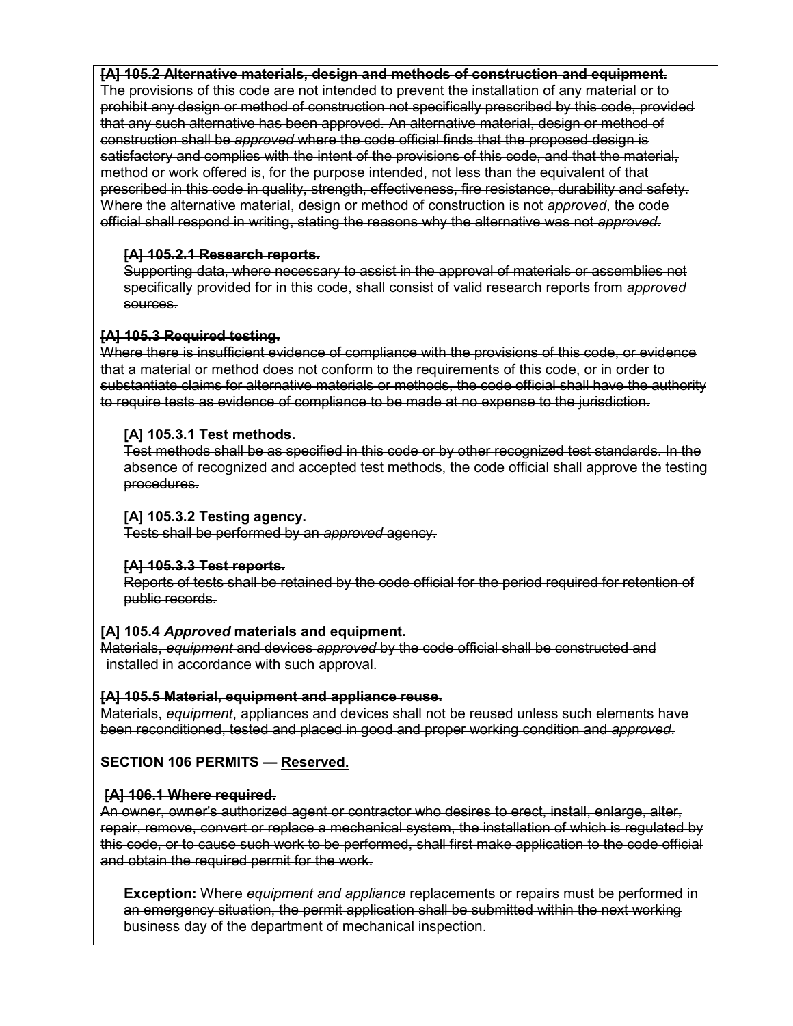#### **[A] 105.2 Alternative materials, design and methods of construction and equipment.**

The provisions of this code are not intended to prevent the installation of any material or to prohibit any design or method of construction not specifically prescribed by this code, provided that any such alternative has been approved*.* An alternative material, design or method of construction shall be *approved* where the code official finds that the proposed design is satisfactory and complies with the intent of the provisions of this code, and that the material, method or work offered is, for the purpose intended, not less than the equivalent of that prescribed in this code in quality, strength, effectiveness, fire resistance, durability and safety. Where the alternative material, design or method of construction is not *approved*, the code official shall respond in writing, stating the reasons why the alternative was not *approved*.

### **[A] 105.2.1 Research reports.**

Supporting data, where necessary to assist in the approval of materials or assemblies not specifically provided for in this code, shall consist of valid research reports from *approved* sources.

### **[A] 105.3 Required testing.**

Where there is insufficient evidence of compliance with the provisions of this code, or evidence that a material or method does not conform to the requirements of this code, or in order to substantiate claims for alternative materials or methods, the code official shall have the authority to require tests as evidence of compliance to be made at no expense to the jurisdiction.

### **[A] 105.3.1 Test methods.**

Test methods shall be as specified in this code or by other recognized test standards. In the absence of recognized and accepted test methods, the code official shall approve the testing procedures.

### **[A] 105.3.2 Testing agency.**

Tests shall be performed by an *approved* agency.

### **[A] 105.3.3 Test reports.**

Reports of tests shall be retained by the code official for the period required for retention of public records.

### **[A] 105.4** *Approved* **materials and equipment.**

Materials, *equipment* and devices *approved* by the code official shall be constructed and installed in accordance with such approval.

### **[A] 105.5 Material, equipment and appliance reuse.**

Materials, *equipment*, appliances and devices shall not be reused unless such elements have been reconditioned, tested and placed in good and proper working condition and *approved*.

## **SECTION 106 PERMITS — Reserved.**

## **[A] 106.1 Where required.**

An owner, owner's authorized agent or contractor who desires to erect, install, enlarge, alter, repair, remove, convert or replace a mechanical system, the installation of which is regulated by this code, or to cause such work to be performed, shall first make application to the code official and obtain the required permit for the work.

**Exception:** Where *equipment and appliance* replacements or repairs must be performed in an emergency situation, the permit application shall be submitted within the next working business day of the department of mechanical inspection.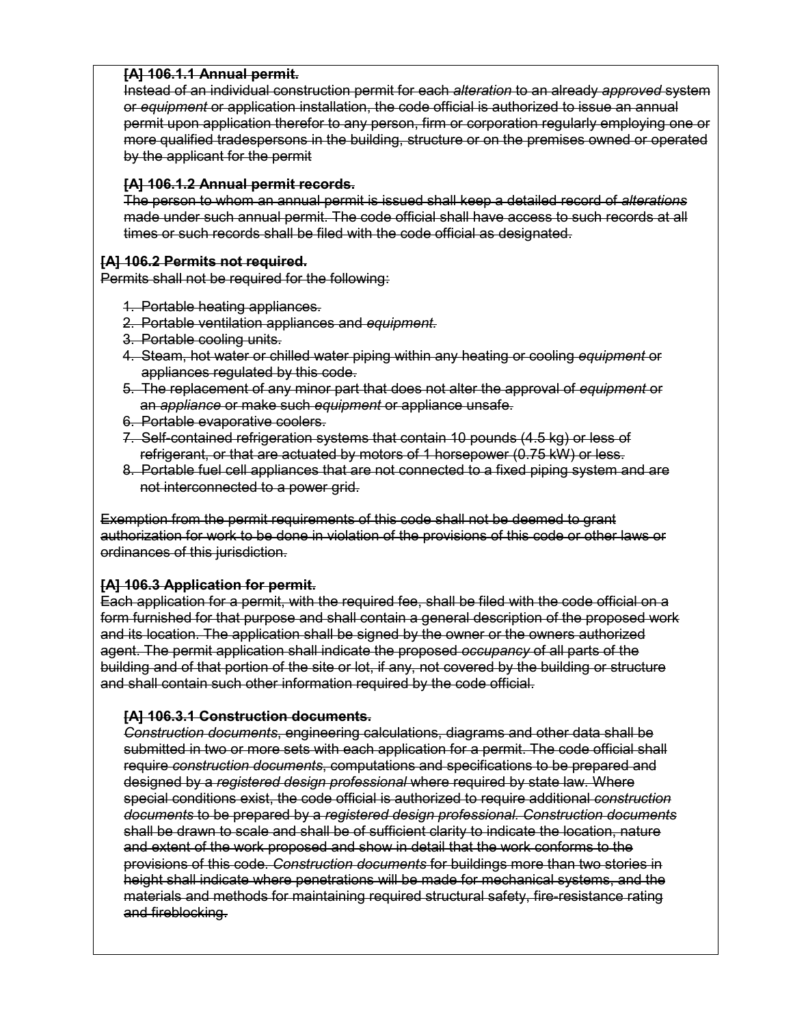#### **[A] 106.1.1 Annual permit.**

Instead of an individual construction permit for each *alteration* to an already *approved* system or *equipment* or application installation, the code official is authorized to issue an annual permit upon application therefor to any person, firm or corporation regularly employing one or more qualified tradespersons in the building, structure or on the premises owned or operated by the applicant for the permit

#### **[A] 106.1.2 Annual permit records.**

The person to whom an annual permit is issued shall keep a detailed record of *alterations* made under such annual permit. The code official shall have access to such records at all times or such records shall be filed with the code official as designated.

#### **[A] 106.2 Permits not required.**

Permits shall not be required for the following:

- 1. Portable heating appliances.
- 2. Portable ventilation appliances and *equipment.*
- 3. Portable cooling units.
- 4. Steam, hot water or chilled water piping within any heating or cooling *equipment* or appliances regulated by this code.
- 5. The replacement of any minor part that does not alter the approval of *equipment* or an *appliance* or make such *equipment* or appliance unsafe.
- 6. Portable evaporative coolers.
- 7. Self-contained refrigeration systems that contain 10 pounds (4.5 kg) or less of refrigerant, or that are actuated by motors of 1 horsepower (0.75 kW) or less.
- 8. Portable fuel cell appliances that are not connected to a fixed piping system and are not interconnected to a power grid.

Exemption from the permit requirements of this code shall not be deemed to grant authorization for work to be done in violation of the provisions of this code or other laws or ordinances of this jurisdiction.

### **[A] 106.3 Application for permit.**

Each application for a permit, with the required fee, shall be filed with the code official on a form furnished for that purpose and shall contain a general description of the proposed work and its location. The application shall be signed by the owner or the owners authorized agent. The permit application shall indicate the proposed *occupancy* of all parts of the building and of that portion of the site or lot, if any, not covered by the building or structure and shall contain such other information required by the code official.

### **[A] 106.3.1 Construction documents.**

*Construction documents*, engineering calculations, diagrams and other data shall be submitted in two or more sets with each application for a permit. The code official shall require *construction documents*, computations and specifications to be prepared and designed by a *registered design professional* where required by state law. Where special conditions exist, the code official is authorized to require additional *construction documents* to be prepared by a *registered design professional. Construction documents* shall be drawn to scale and shall be of sufficient clarity to indicate the location, nature and extent of the work proposed and show in detail that the work conforms to the provisions of this code. *Construction documents* for buildings more than two stories in height shall indicate where penetrations will be made for mechanical systems, and the materials and methods for maintaining required structural safety, fire-resistance rating and fireblocking.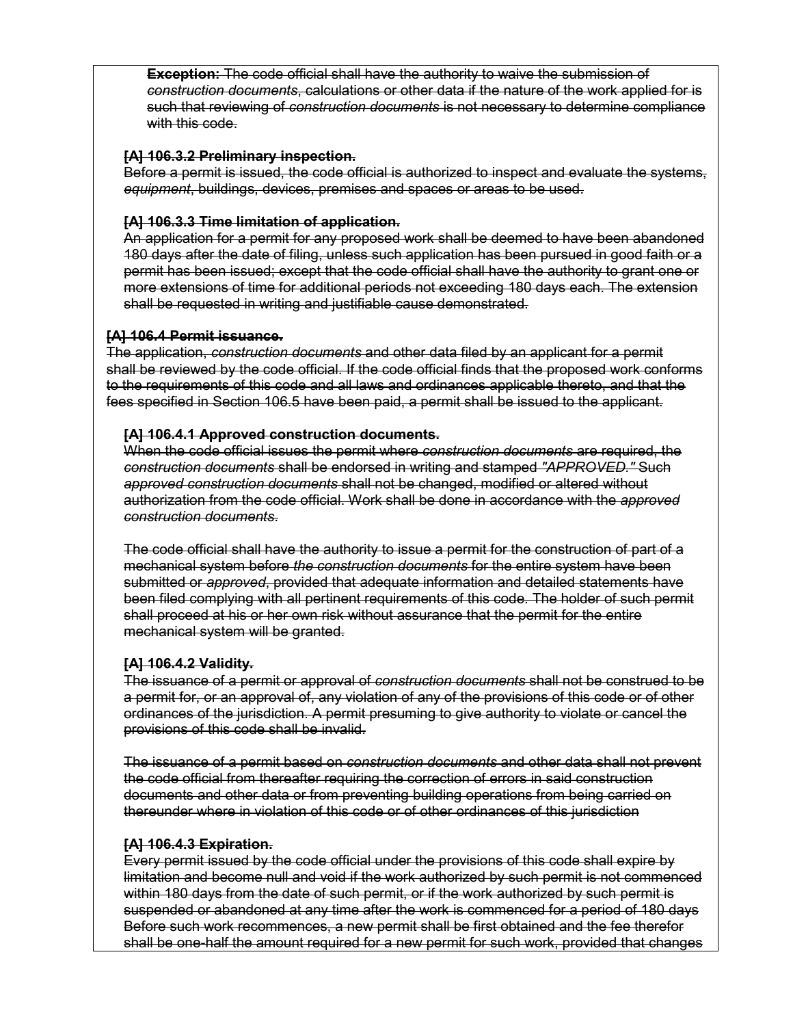**Exception:** The code official shall have the authority to waive the submission of *construction documents*, calculations or other data if the nature of the work applied for is such that reviewing of *construction documents* is not necessary to determine compliance with this code.

#### **[A] 106.3.2 Preliminary inspection.**

Before a permit is issued, the code official is authorized to inspect and evaluate the systems, *equipment*, buildings, devices, premises and spaces or areas to be used.

### **[A] 106.3.3 Time limitation of application.**

An application for a permit for any proposed work shall be deemed to have been abandoned 180 days after the date of filing, unless such application has been pursued in good faith or a permit has been issued; except that the code official shall have the authority to grant one or more extensions of time for additional periods not exceeding 180 days each. The extension shall be requested in writing and justifiable cause demonstrated.

### **[A] 106.4 Permit issuance.**

The application, *construction documents* and other data filed by an applicant for a permit shall be reviewed by the code official. If the code official finds that the proposed work conforms to the requirements of this code and all laws and ordinances applicable thereto, and that the fees specified in Section 106.5 have been paid, a permit shall be issued to the applicant.

### **[A] 106.4.1 Approved construction documents.**

When the code official issues the permit where *construction documents* are required, the *construction documents* shall be endorsed in writing and stamped *"APPROVED."* Such *approved construction documents* shall not be changed, modified or altered without authorization from the code official. Work shall be done in accordance with the *approved construction documents*.

The code official shall have the authority to issue a permit for the construction of part of a mechanical system before *the construction documents* for the entire system have been submitted or *approved*, provided that adequate information and detailed statements have been filed complying with all pertinent requirements of this code. The holder of such permit shall proceed at his or her own risk without assurance that the permit for the entire mechanical system will be granted.

### **[A] 106.4.2 Validity.**

The issuance of a permit or approval of *construction documents* shall not be construed to be a permit for, or an approval of, any violation of any of the provisions of this code or of other ordinances of the jurisdiction. A permit presuming to give authority to violate or cancel the provisions of this code shall be invalid.

The issuance of a permit based on *construction documents* and other data shall not prevent the code official from thereafter requiring the correction of errors in said construction documents and other data or from preventing building operations from being carried on thereunder where in violation of this code or of other ordinances of this jurisdiction

### **[A] 106.4.3 Expiration.**

Every permit issued by the code official under the provisions of this code shall expire by limitation and become null and void if the work authorized by such permit is not commenced within 180 days from the date of such permit, or if the work authorized by such permit is suspended or abandoned at any time after the work is commenced for a period of 180 days Before such work recommences, a new permit shall be first obtained and the fee therefor shall be one-half the amount required for a new permit for such work, provided that changes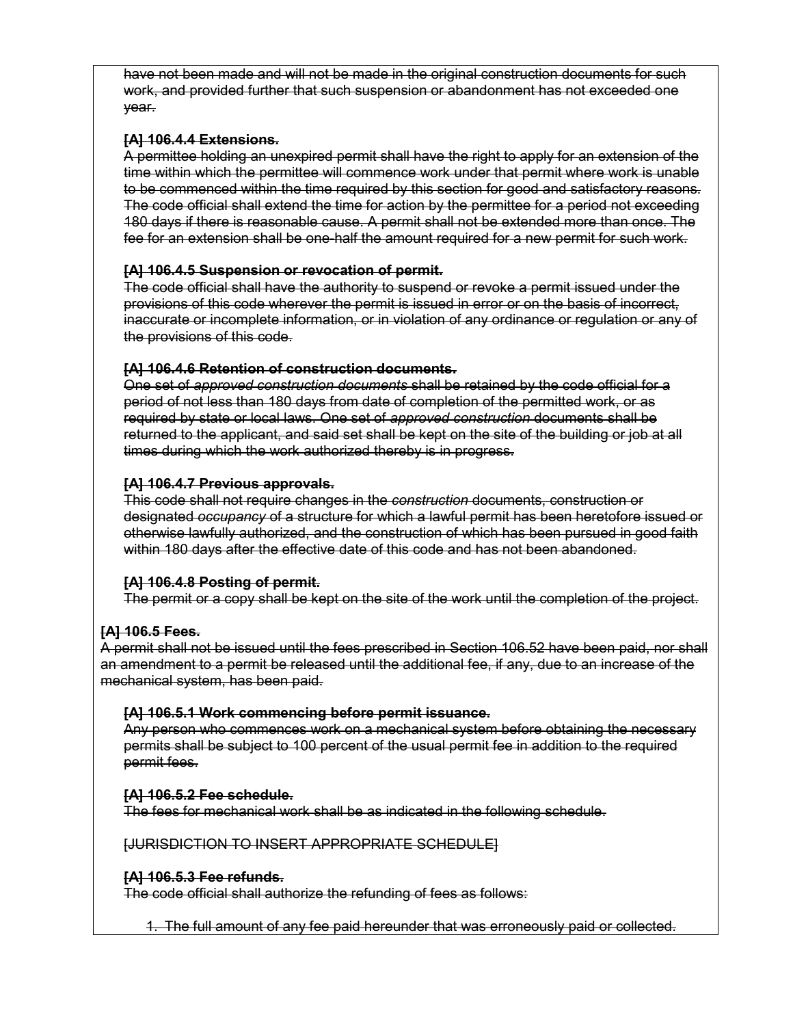have not been made and will not be made in the original construction documents for such work, and provided further that such suspension or abandonment has not exceeded one year.

### **[A] 106.4.4 Extensions.**

A permittee holding an unexpired permit shall have the right to apply for an extension of the time within which the permittee will commence work under that permit where work is unable to be commenced within the time required by this section for good and satisfactory reasons. The code official shall extend the time for action by the permittee for a period not exceeding 180 days if there is reasonable cause. A permit shall not be extended more than once. The fee for an extension shall be one-half the amount required for a new permit for such work.

### **[A] 106.4.5 Suspension or revocation of permit.**

The code official shall have the authority to suspend or revoke a permit issued under the provisions of this code wherever the permit is issued in error or on the basis of incorrect, inaccurate or incomplete information, or in violation of any ordinance or regulation or any of the provisions of this code.

### **[A] 106.4.6 Retention of construction documents.**

One set of *approved construction documents* shall be retained by the code official for a period of not less than 180 days from date of completion of the permitted work, or as required by state or local laws. One set of *approved construction* documents shall be returned to the applicant, and said set shall be kept on the site of the building or job at all times during which the work authorized thereby is in progress.

### **[A] 106.4.7 Previous approvals.**

This code shall not require changes in the *construction* documents, construction or designated *occupancy* of a structure for which a lawful permit has been heretofore issued or otherwise lawfully authorized, and the construction of which has been pursued in good faith within 180 days after the effective date of this code and has not been abandoned.

### **[A] 106.4.8 Posting of permit.**

The permit or a copy shall be kept on the site of the work until the completion of the project.

### **[A] 106.5 Fees.**

A permit shall not be issued until the fees prescribed in Section 106.52 have been paid, nor shall an amendment to a permit be released until the additional fee, if any, due to an increase of the mechanical system, has been paid.

### **[A] 106.5.1 Work commencing before permit issuance.**

Any person who commences work on a mechanical system before obtaining the necessary permits shall be subject to 100 percent of the usual permit fee in addition to the required permit fees.

### **[A] 106.5.2 Fee schedule.**

The fees for mechanical work shall be as indicated in the following schedule.

[JURISDICTION TO INSERT APPROPRIATE SCHEDULE]

### **[A] 106.5.3 Fee refunds.**

The code official shall authorize the refunding of fees as follows:

1. The full amount of any fee paid hereunder that was erroneously paid or collected.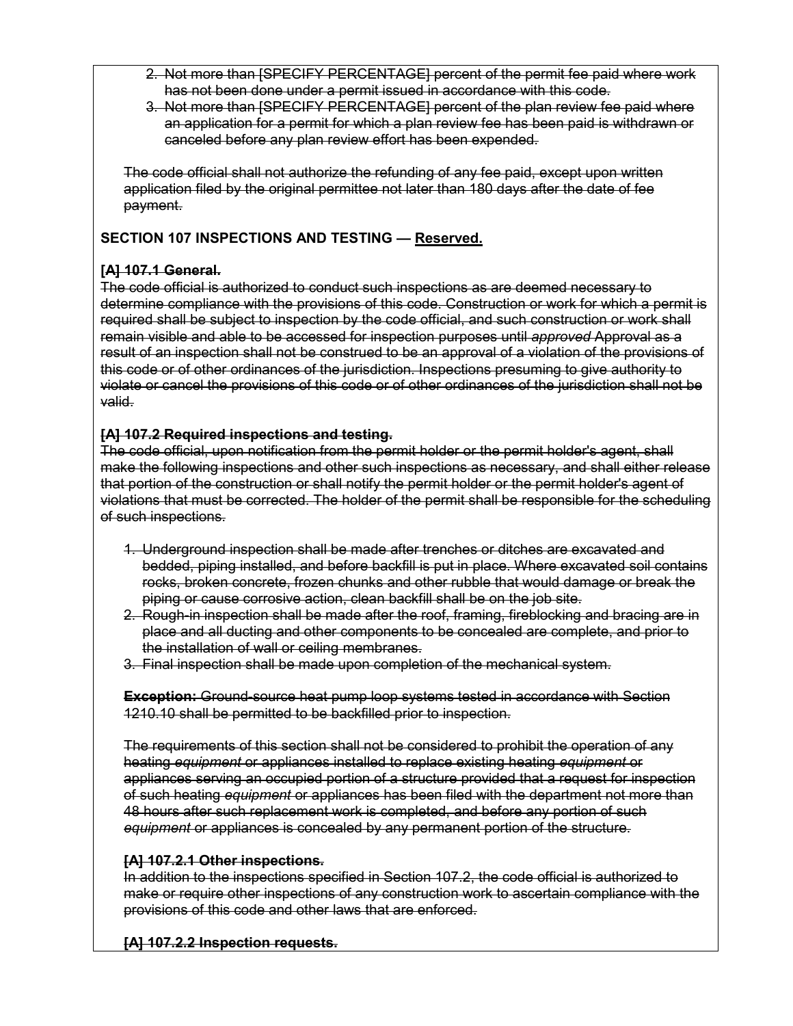- 2. Not more than [SPECIFY PERCENTAGE] percent of the permit fee paid where work has not been done under a permit issued in accordance with this code.
- 3. Not more than [SPECIFY PERCENTAGE] percent of the plan review fee paid where an application for a permit for which a plan review fee has been paid is withdrawn or canceled before any plan review effort has been expended.

The code official shall not authorize the refunding of any fee paid, except upon written application filed by the original permittee not later than 180 days after the date of fee payment.

# **SECTION 107 INSPECTIONS AND TESTING — Reserved.**

# **[A] 107.1 General.**

The code official is authorized to conduct such inspections as are deemed necessary to determine compliance with the provisions of this code. Construction or work for which a permit is required shall be subject to inspection by the code official, and such construction or work shall remain visible and able to be accessed for inspection purposes until *approved* Approval as a result of an inspection shall not be construed to be an approval of a violation of the provisions of this code or of other ordinances of the jurisdiction. Inspections presuming to give authority to violate or cancel the provisions of this code or of other ordinances of the jurisdiction shall not be valid.

## **[A] 107.2 Required inspections and testing.**

The code official, upon notification from the permit holder or the permit holder's agent, shall make the following inspections and other such inspections as necessary, and shall either release that portion of the construction or shall notify the permit holder or the permit holder's agent of violations that must be corrected. The holder of the permit shall be responsible for the scheduling of such inspections.

- 1. Underground inspection shall be made after trenches or ditches are excavated and bedded, piping installed, and before backfill is put in place. Where excavated soil contains rocks, broken concrete, frozen chunks and other rubble that would damage or break the piping or cause corrosive action, clean backfill shall be on the job site.
- 2. Rough-in inspection shall be made after the roof, framing, fireblocking and bracing are in place and all ducting and other components to be concealed are complete, and prior to the installation of wall or ceiling membranes.
- 3. Final inspection shall be made upon completion of the mechanical system.

**Exception:** Ground-source heat pump loop systems tested in accordance with Section 1210.10 shall be permitted to be backfilled prior to inspection.

The requirements of this section shall not be considered to prohibit the operation of any heating *equipment* or appliances installed to replace existing heating *equipment* or appliances serving an occupied portion of a structure provided that a request for inspection of such heating *equipment* or appliances has been filed with the department not more than 48 hours after such replacement work is completed, and before any portion of such *equipment* or appliances is concealed by any permanent portion of the structure.

### **[A] 107.2.1 Other inspections.**

In addition to the inspections specified in Section 107.2, the code official is authorized to make or require other inspections of any construction work to ascertain compliance with the provisions of this code and other laws that are enforced.

### **[A] 107.2.2 Inspection requests.**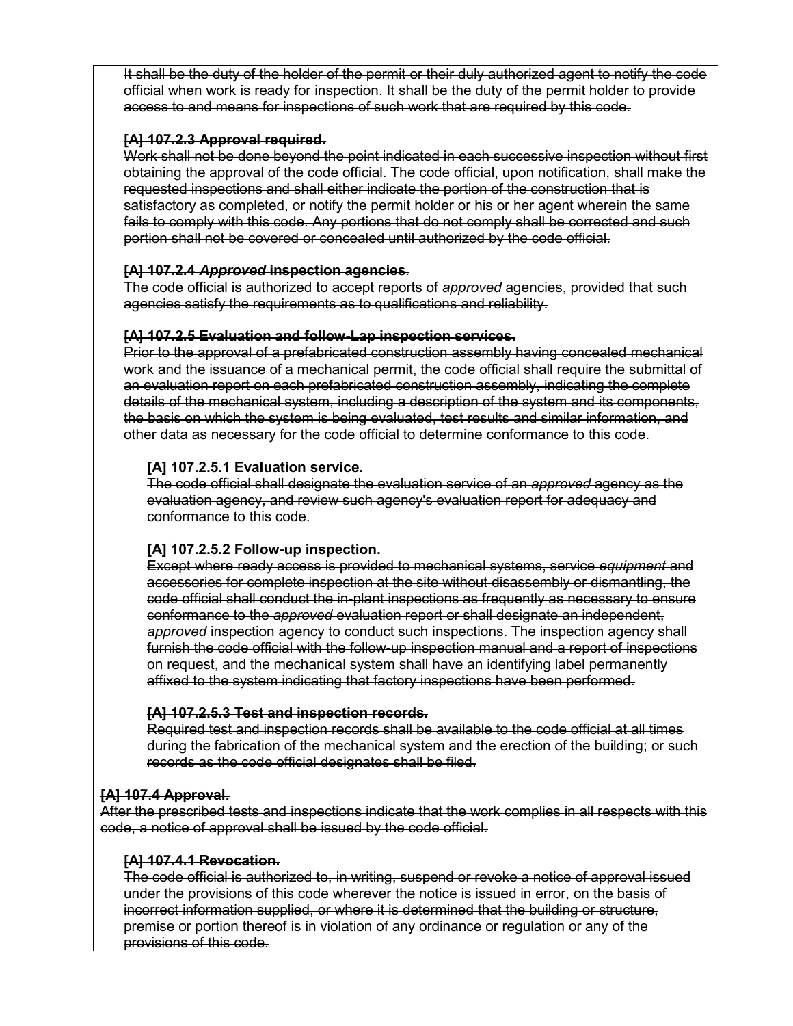It shall be the duty of the holder of the permit or their duly authorized agent to notify the code official when work is ready for inspection. It shall be the duty of the permit holder to provide access to and means for inspections of such work that are required by this code.

### **[A] 107.2.3 Approval required.**

Work shall not be done beyond the point indicated in each successive inspection without first obtaining the approval of the code official. The code official, upon notification, shall make the requested inspections and shall either indicate the portion of the construction that is satisfactory as completed, or notify the permit holder or his or her agent wherein the same fails to comply with this code. Any portions that do not comply shall be corrected and such portion shall not be covered or concealed until authorized by the code official.

## **[A] 107.2.4** *Approved* **inspection agencies**.

The code official is authorized to accept reports of *approved* agencies, provided that such agencies satisfy the requirements as to qualifications and reliability.

### **[A] 107.2.5 Evaluation and follow-Lap inspection services.**

Prior to the approval of a prefabricated construction assembly having concealed mechanical work and the issuance of a mechanical permit, the code official shall require the submittal of an evaluation report on each prefabricated construction assembly, indicating the complete details of the mechanical system, including a description of the system and its components, the basis on which the system is being evaluated, test results and similar information, and other data as necessary for the code official to determine conformance to this code.

#### **[A] 107.2.5.1 Evaluation service.**

The code official shall designate the evaluation service of an *approved* agency as the evaluation agency, and review such agency's evaluation report for adequacy and conformance to this code.

### **[A] 107.2.5.2 Follow-up inspection.**

Except where ready access is provided to mechanical systems, service *equipment* and accessories for complete inspection at the site without disassembly or dismantling, the code official shall conduct the in-plant inspections as frequently as necessary to ensure conformance to the *approved* evaluation report or shall designate an independent, *approved* inspection agency to conduct such inspections. The inspection agency shall furnish the code official with the follow-up inspection manual and a report of inspections on request, and the mechanical system shall have an identifying label permanently affixed to the system indicating that factory inspections have been performed.

### **[A] 107.2.5.3 Test and inspection records.**

Required test and inspection records shall be available to the code official at all times during the fabrication of the mechanical system and the erection of the building; or such records as the code official designates shall be filed.

### **[A] 107.4 Approval.**

After the prescribed tests and inspections indicate that the work complies in all respects with this code, a notice of approval shall be issued by the code official.

#### **[A] 107.4.1 Revocation.**

The code official is authorized to, in writing, suspend or revoke a notice of approval issued under the provisions of this code wherever the notice is issued in error, on the basis of incorrect information supplied, or where it is determined that the building or structure, premise or portion thereof is in violation of any ordinance or regulation or any of the provisions of this code.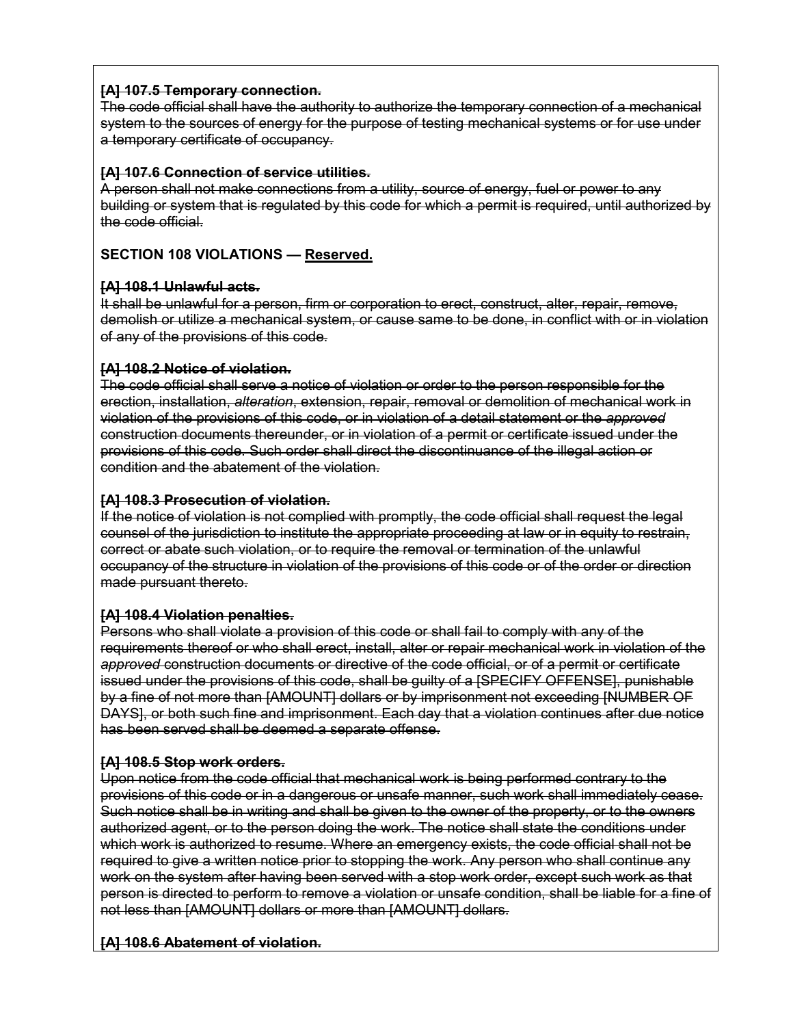### **[A] 107.5 Temporary connection.**

The code official shall have the authority to authorize the temporary connection of a mechanical system to the sources of energy for the purpose of testing mechanical systems or for use under a temporary certificate of occupancy.

### **[A] 107.6 Connection of service utilities.**

A person shall not make connections from a utility, source of energy, fuel or power to any building or system that is regulated by this code for which a permit is required, until authorized by the code official.

### **SECTION 108 VIOLATIONS — Reserved.**

### **[A] 108.1 Unlawful acts.**

It shall be unlawful for a person, firm or corporation to erect, construct, alter, repair, remove, demolish or utilize a mechanical system, or cause same to be done, in conflict with or in violation of any of the provisions of this code.

### **[A] 108.2 Notice of violation.**

The code official shall serve a notice of violation or order to the person responsible for the erection, installation, *alteration*, extension, repair, removal or demolition of mechanical work in violation of the provisions of this code, or in violation of a detail statement or the *approved* construction documents thereunder, or in violation of a permit or certificate issued under the provisions of this code. Such order shall direct the discontinuance of the illegal action or condition and the abatement of the violation.

### **[A] 108.3 Prosecution of violation.**

If the notice of violation is not complied with promptly, the code official shall request the legal counsel of the jurisdiction to institute the appropriate proceeding at law or in equity to restrain, correct or abate such violation, or to require the removal or termination of the unlawful occupancy of the structure in violation of the provisions of this code or of the order or direction made pursuant thereto.

## **[A] 108.4 Violation penalties.**

Persons who shall violate a provision of this code or shall fail to comply with any of the requirements thereof or who shall erect, install, alter or repair mechanical work in violation of the *approved* construction documents or directive of the code official, or of a permit or certificate issued under the provisions of this code, shall be guilty of a [SPECIFY OFFENSE], punishable by a fine of not more than [AMOUNT] dollars or by imprisonment not exceeding [NUMBER OF DAYS], or both such fine and imprisonment. Each day that a violation continues after due notice has been served shall be deemed a separate offense.

## **[A] 108.5 Stop work orders.**

Upon notice from the code official that mechanical work is being performed contrary to the provisions of this code or in a dangerous or unsafe manner, such work shall immediately cease. Such notice shall be in writing and shall be given to the owner of the property, or to the owners authorized agent, or to the person doing the work. The notice shall state the conditions under which work is authorized to resume. Where an emergency exists, the code official shall not be required to give a written notice prior to stopping the work. Any person who shall continue any work on the system after having been served with a stop work order, except such work as that person is directed to perform to remove a violation or unsafe condition, shall be liable for a fine of not less than [AMOUNT] dollars or more than [AMOUNT] dollars.

### **[A] 108.6 Abatement of violation.**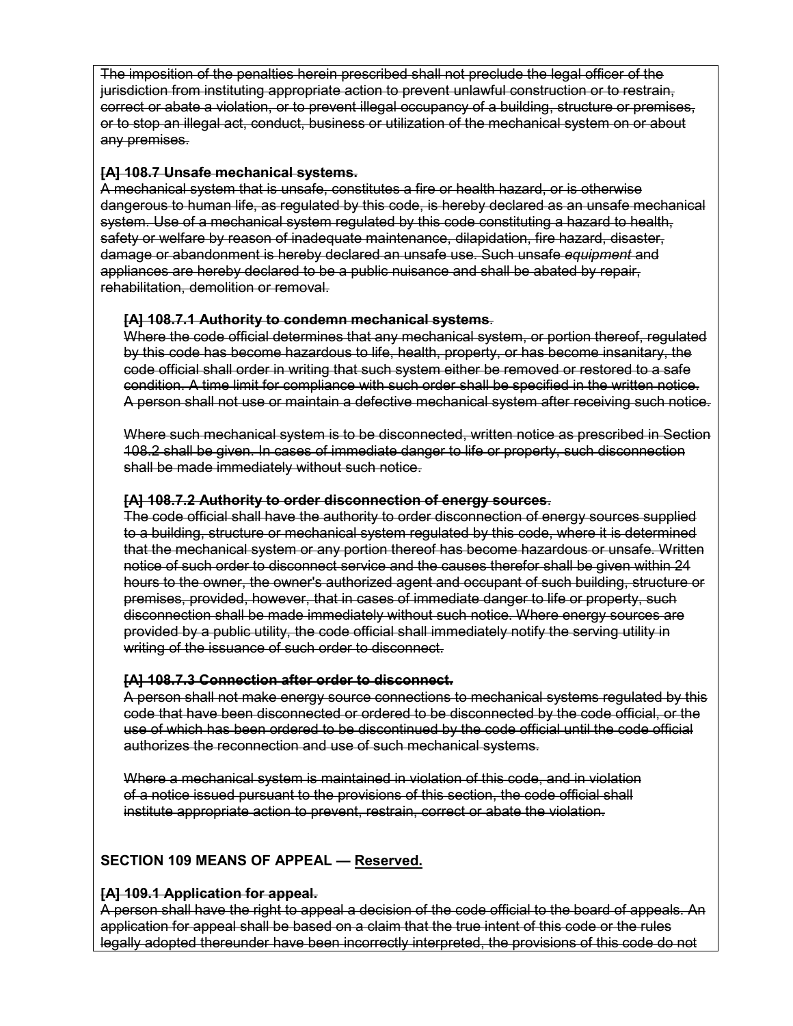The imposition of the penalties herein prescribed shall not preclude the legal officer of the jurisdiction from instituting appropriate action to prevent unlawful construction or to restrain, correct or abate a violation, or to prevent illegal occupancy of a building, structure or premises, or to stop an illegal act, conduct, business or utilization of the mechanical system on or about any premises.

### **[A] 108.7 Unsafe mechanical systems.**

A mechanical system that is unsafe, constitutes a fire or health hazard, or is otherwise dangerous to human life, as regulated by this code, is hereby declared as an unsafe mechanical system. Use of a mechanical system regulated by this code constituting a hazard to health, safety or welfare by reason of inadequate maintenance, dilapidation, fire hazard, disaster, damage or abandonment is hereby declared an unsafe use. Such unsafe *equipment* and appliances are hereby declared to be a public nuisance and shall be abated by repair, rehabilitation, demolition or removal.

## **[A] 108.7.1 Authority to condemn mechanical systems**.

Where the code official determines that any mechanical system, or portion thereof, regulated by this code has become hazardous to life, health, property, or has become insanitary, the code official shall order in writing that such system either be removed or restored to a safe condition. A time limit for compliance with such order shall be specified in the written notice. A person shall not use or maintain a defective mechanical system after receiving such notice.

Where such mechanical system is to be disconnected, written notice as prescribed in Section 108.2 shall be given. In cases of immediate danger to life or property, such disconnection shall be made immediately without such notice.

### **[A] 108.7.2 Authority to order disconnection of energy sources**.

The code official shall have the authority to order disconnection of energy sources supplied to a building, structure or mechanical system regulated by this code, where it is determined that the mechanical system or any portion thereof has become hazardous or unsafe. Written notice of such order to disconnect service and the causes therefor shall be given within 24 hours to the owner, the owner's authorized agent and occupant of such building, structure or premises, provided, however, that in cases of immediate danger to life or property, such disconnection shall be made immediately without such notice. Where energy sources are provided by a public utility, the code official shall immediately notify the serving utility in writing of the issuance of such order to disconnect.

### **[A] 108.7.3 Connection after order to disconnect.**

A person shall not make energy source connections to mechanical systems regulated by this code that have been disconnected or ordered to be disconnected by the code official, or the use of which has been ordered to be discontinued by the code official until the code official authorizes the reconnection and use of such mechanical systems.

Where a mechanical system is maintained in violation of this code, and in violation of a notice issued pursuant to the provisions of this section, the code official shall institute appropriate action to prevent, restrain, correct or abate the violation.

# **SECTION 109 MEANS OF APPEAL — Reserved.**

## **[A] 109.1 Application for appeal.**

A person shall have the right to appeal a decision of the code official to the board of appeals. An application for appeal shall be based on a claim that the true intent of this code or the rules legally adopted thereunder have been incorrectly interpreted, the provisions of this code do not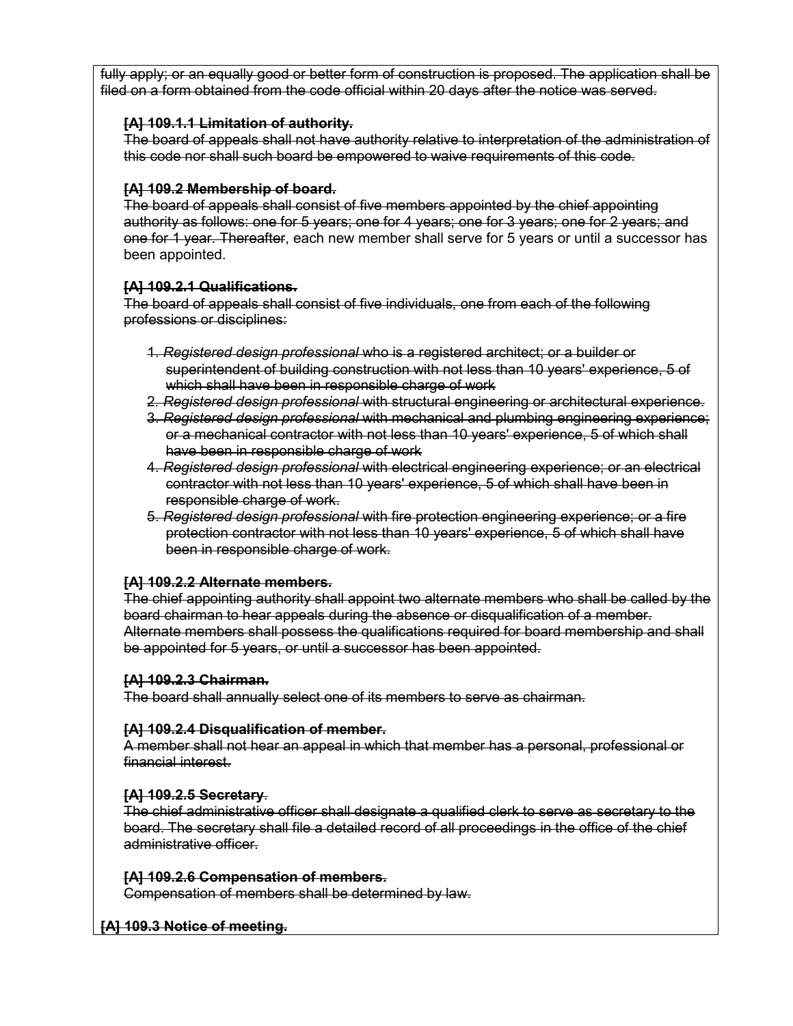fully apply; or an equally good or better form of construction is proposed. The application shall be filed on a form obtained from the code official within 20 days after the notice was served.

### **[A] 109.1.1 Limitation of authority.**

The board of appeals shall not have authority relative to interpretation of the administration of this code nor shall such board be empowered to waive requirements of this code.

### **[A] 109.2 Membership of board.**

The board of appeals shall consist of five members appointed by the chief appointing authority as follows: one for 5 years; one for 4 years; one for 3 years; one for 2 years; and one for 1 year. Thereafter, each new member shall serve for 5 years or until a successor has been appointed.

### **[A] 109.2.1 Qualifications.**

The board of appeals shall consist of five individuals, one from each of the following professions or disciplines:

- 1. *Registered design professional* who is a registered architect; or a builder or superintendent of building construction with not less than 10 years' experience, 5 of which shall have been in responsible charge of work
- 2*. Registered design professional* with structural engineering or architectural experience.
- 3. *Registered design professional* with mechanical and plumbing engineering experience; or a mechanical contractor with not less than 10 years' experience, 5 of which shall have been in responsible charge of work
- 4. *Registered design professional* with electrical engineering experience; or an electrical contractor with not less than 10 years' experience, 5 of which shall have been in responsible charge of work.
- 5. *Registered design professional* with fire protection engineering experience; or a fire protection contractor with not less than 10 years' experience, 5 of which shall have been in responsible charge of work.

### **[A] 109.2.2 Alternate members.**

The chief appointing authority shall appoint two alternate members who shall be called by the board chairman to hear appeals during the absence or disqualification of a member. Alternate members shall possess the qualifications required for board membership and shall be appointed for 5 years, or until a successor has been appointed.

### **[A] 109.2.3 Chairman.**

The board shall annually select one of its members to serve as chairman.

### **[A] 109.2.4 Disqualification of member.**

A member shall not hear an appeal in which that member has a personal, professional or financial interest.

## **[A] 109.2.5 Secretary**.

The chief administrative officer shall designate a qualified clerk to serve as secretary to the board. The secretary shall file a detailed record of all proceedings in the office of the chief administrative officer.

### **[A] 109.2.6 Compensation of members.**

Compensation of members shall be determined by law.

## **[A] 109.3 Notice of meeting.**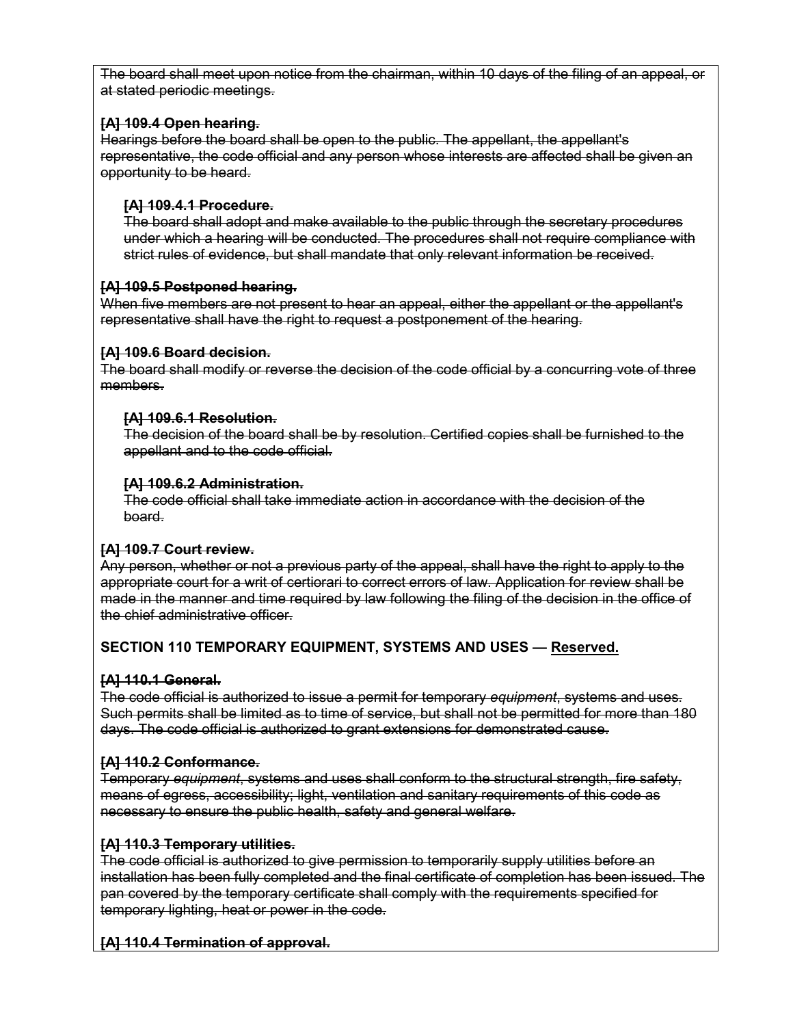The board shall meet upon notice from the chairman, within 10 days of the filing of an appeal, or at stated periodic meetings.

## **[A] 109.4 Open hearing.**

Hearings before the board shall be open to the public. The appellant, the appellant's representative, the code official and any person whose interests are affected shall be given an opportunity to be heard.

## **[A] 109.4.1 Procedure.**

The board shall adopt and make available to the public through the secretary procedures under which a hearing will be conducted. The procedures shall not require compliance with strict rules of evidence, but shall mandate that only relevant information be received.

# **[A] 109.5 Postponed hearing.**

When five members are not present to hear an appeal, either the appellant or the appellant's representative shall have the right to request a postponement of the hearing.

# **[A] 109.6 Board decision.**

The board shall modify or reverse the decision of the code official by a concurring vote of three members.

## **[A] 109.6.1 Resolution.**

The decision of the board shall be by resolution. Certified copies shall be furnished to the appellant and to the code official.

# **[A] 109.6.2 Administration.**

The code official shall take immediate action in accordance with the decision of the board.

# **[A] 109.7 Court review.**

Any person, whether or not a previous party of the appeal, shall have the right to apply to the appropriate court for a writ of certiorari to correct errors of law. Application for review shall be made in the manner and time required by law following the filing of the decision in the office of the chief administrative officer.

# **SECTION 110 TEMPORARY EQUIPMENT, SYSTEMS AND USES — Reserved.**

# **[A] 110.1 General.**

The code official is authorized to issue a permit for temporary *equipment*, systems and uses. Such permits shall be limited as to time of service, but shall not be permitted for more than 180 days. The code official is authorized to grant extensions for demonstrated cause.

# **[A] 110.2 Conformance.**

Temporary *equipment*, systems and uses shall conform to the structural strength, fire safety, means of egress, accessibility; light, ventilation and sanitary requirements of this code as necessary to ensure the public health, safety and general welfare.

# **[A] 110.3 Temporary utilities.**

The code official is authorized to give permission to temporarily supply utilities before an installation has been fully completed and the final certificate of completion has been issued. The pan covered by the temporary certificate shall comply with the requirements specified for temporary lighting, heat or power in the code.

# **[A] 110.4 Termination of approval.**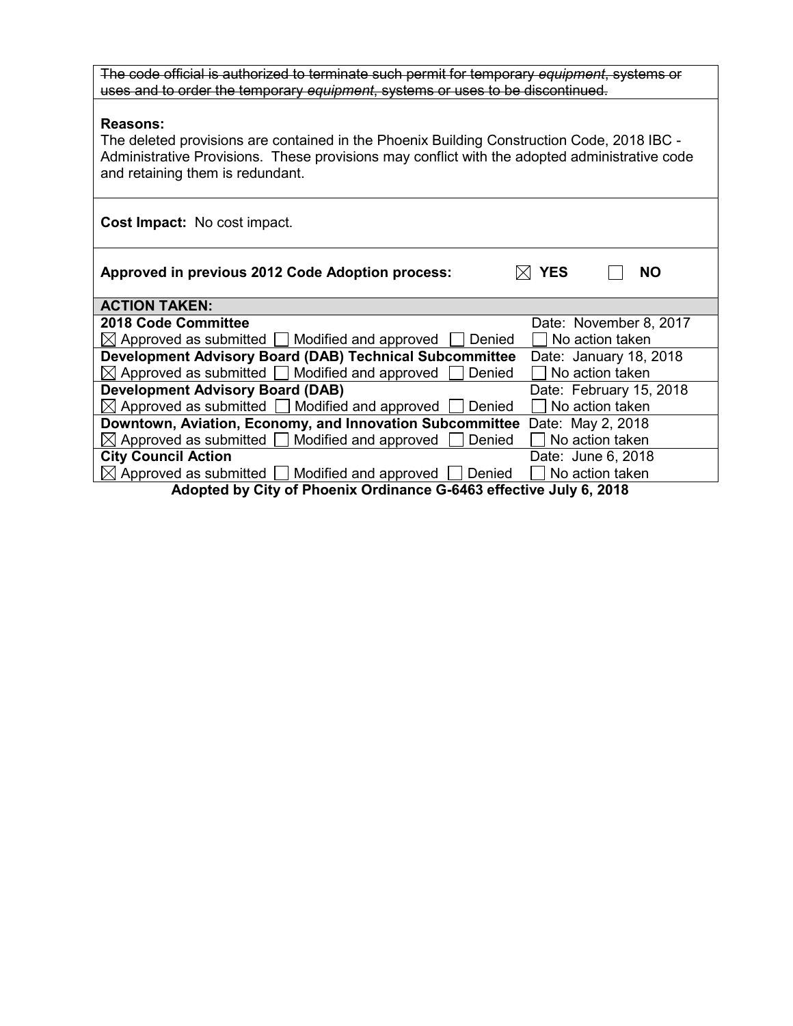The code official is authorized to terminate such permit for temporary *equipment*, systems or uses and to order the temporary *equipment*, systems or uses to be discontinued.

#### **Reasons:**

The deleted provisions are contained in the Phoenix Building Construction Code, 2018 IBC - Administrative Provisions. These provisions may conflict with the adopted administrative code and retaining them is redundant.

**Cost Impact:** No cost impact. Approved in previous 2012 Code Adoption process:  $\boxtimes$  YES  $\Box$  NO **ACTION TAKEN: 2018 Code Committee 2018 Code Committee 2018 Code Committee 2018**  $\boxtimes$  Approved as submitted  $\Box$  Modified and approved  $\Box$  Denied  $\Box$  No action taken<br>**Development Advisory Board (DAB) Technical Subcommittee** Date: January 18, 2018 **Development Advisory Board (DAB) Technical Subcommittee** △Approved as submitted and approved All Denied All No action taken<br> **Development Advisory Board (DAB)** Date: February 15, 2018 **Development Advisory Board (DAB)** Date: February 15,<br>  $\boxtimes$  Approved as submitted  $\Box$  Modified and approved  $\Box$  Denied  $\Box$  No action taken  $\boxtimes$  Approved as submitted  $\Box$  Modified and approved  $\Box$  Denied **Downtown, Aviation, Economy, and Innovation Subcommittee** Date: May 2, 2018 △Approved as submitted and approved and approved Approid Action taken City Council Action<br>**City Council Action** Date: June 6, 2018 **City Council Action** Date: June 6, 2018<br>
<br>
○ Approved as submitted In Modified and approved In Denied In No action taken  $\boxtimes$  Approved as submitted  $\Box$  Modified and approved  $\Box$  Denied **Adopted by City of Phoenix Ordinance G-6463 effective July 6, 2018**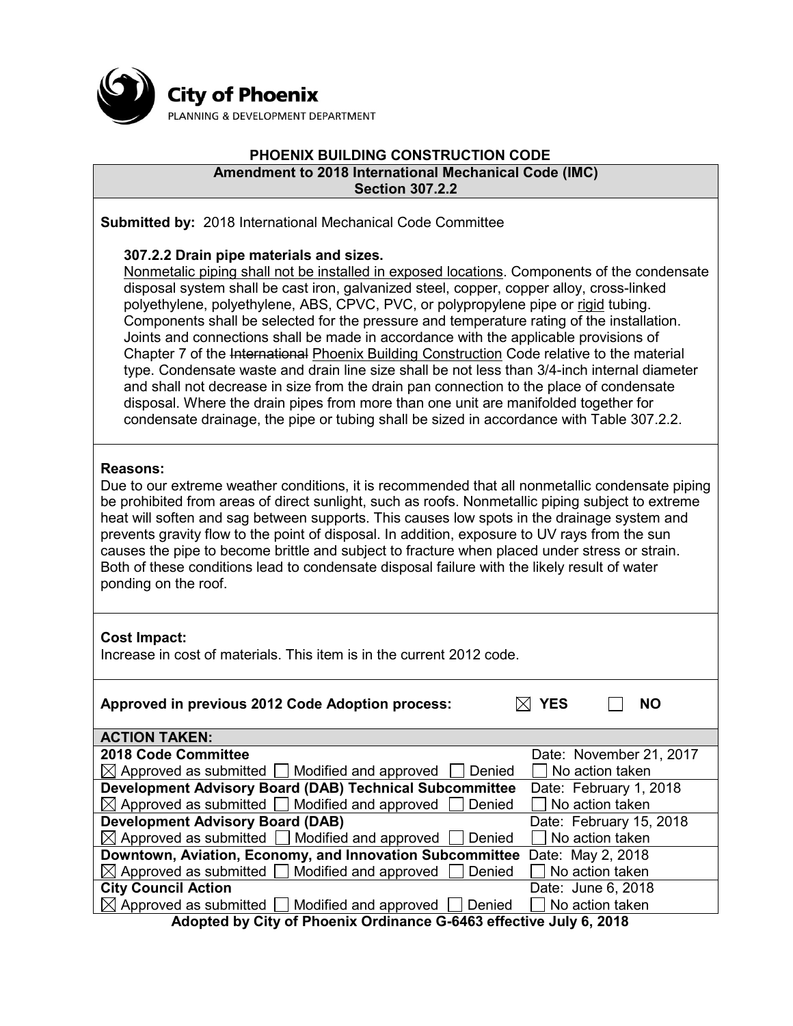

# **PHOENIX BUILDING CONSTRUCTION CODE Amendment to 2018 International Mechanical Code (IMC)**

**Section 307.2.2**

**Submitted by:** 2018 International Mechanical Code Committee

### **307.2.2 Drain pipe materials and sizes.**

Nonmetalic piping shall not be installed in exposed locations. Components of the condensate disposal system shall be cast iron, galvanized steel, copper, copper alloy, cross-linked polyethylene, polyethylene, ABS, CPVC, PVC, or polypropylene pipe or rigid tubing. Components shall be selected for the pressure and temperature rating of the installation. Joints and connections shall be made in accordance with the applicable provisions of Chapter 7 of the International Phoenix Building Construction Code relative to the material type. Condensate waste and drain line size shall be not less than 3/4-inch internal diameter and shall not decrease in size from the drain pan connection to the place of condensate disposal. Where the drain pipes from more than one unit are manifolded together for condensate drainage, the pipe or tubing shall be sized in accordance with Table 307.2.2.

### **Reasons:**

Due to our extreme weather conditions, it is recommended that all nonmetallic condensate piping be prohibited from areas of direct sunlight, such as roofs. Nonmetallic piping subject to extreme heat will soften and sag between supports. This causes low spots in the drainage system and prevents gravity flow to the point of disposal. In addition, exposure to UV rays from the sun causes the pipe to become brittle and subject to fracture when placed under stress or strain. Both of these conditions lead to condensate disposal failure with the likely result of water ponding on the roof.

## **Cost Impact:**

Increase in cost of materials. This item is in the current 2012 code.

| Approved in previous 2012 Code Adoption process:                              | <b>YES</b> |                         | <b>NO</b>               |
|-------------------------------------------------------------------------------|------------|-------------------------|-------------------------|
| <b>ACTION TAKEN:</b>                                                          |            |                         |                         |
| 2018 Code Committee                                                           |            |                         | Date: November 21, 2017 |
| $\boxtimes$ Approved as submitted $\Box$ Modified and approved<br>Denied      |            | No action taken         |                         |
| <b>Development Advisory Board (DAB) Technical Subcommittee</b>                |            | Date: February 1, 2018  |                         |
| $\boxtimes$ Approved as submitted $\Box$ Modified and approved<br>Denied      |            | No action taken         |                         |
| <b>Development Advisory Board (DAB)</b>                                       |            | Date: February 15, 2018 |                         |
| $\boxtimes$ Approved as submitted $\Box$ Modified and approved<br>Denied      |            | No action taken         |                         |
| Downtown, Aviation, Economy, and Innovation Subcommittee<br>Date: May 2, 2018 |            |                         |                         |
| $\boxtimes$ Approved as submitted $\Box$ Modified and approved<br>Denied      |            | No action taken         |                         |
| <b>City Council Action</b>                                                    |            | Date: June 6, 2018      |                         |
| $\boxtimes$ Approved as submitted $\Box$<br>Modified and approved [<br>Denied |            | No action taken         |                         |
| Adopted by City of Phoenix Ordinance G-6463 effective July 6, 2018            |            |                         |                         |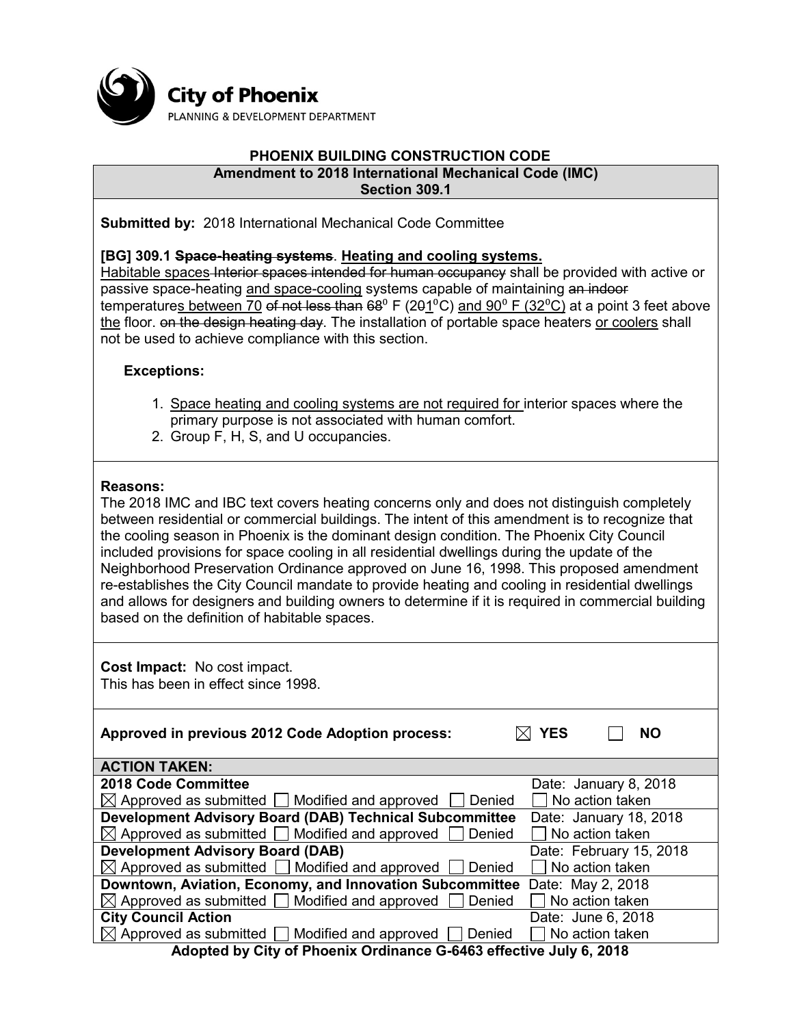

#### **PHOENIX BUILDING CONSTRUCTION CODE Amendment to 2018 International Mechanical Code (IMC) Section 309.1**

**Submitted by:** 2018 International Mechanical Code Committee

**[BG] 309.1 Space-heating systems**. **Heating and cooling systems.** Habitable spaces Interior spaces intended for human occupancy shall be provided with active or passive space-heating and space-cooling systems capable of maintaining an indoor temperatures between 70 of not less than  $68^{\circ}$  F (201 $^{\circ}$ C) and 90 $^{\circ}$  F (32 $^{\circ}$ C) at a point 3 feet above the floor. on the design heating day. The installation of portable space heaters or coolers shall not be used to achieve compliance with this section.

### **Exceptions:**

- 1. Space heating and cooling systems are not required for interior spaces where the primary purpose is not associated with human comfort.
- 2. Group F, H, S, and U occupancies.

#### **Reasons:**

The 2018 IMC and IBC text covers heating concerns only and does not distinguish completely between residential or commercial buildings. The intent of this amendment is to recognize that the cooling season in Phoenix is the dominant design condition. The Phoenix City Council included provisions for space cooling in all residential dwellings during the update of the Neighborhood Preservation Ordinance approved on June 16, 1998. This proposed amendment re-establishes the City Council mandate to provide heating and cooling in residential dwellings and allows for designers and building owners to determine if it is required in commercial building based on the definition of habitable spaces.

**Cost Impact:** No cost impact. This has been in effect since 1998.

| Approved in previous 2012 Code Adoption process:                         | <b>YES</b>         | <b>NO</b>               |  |
|--------------------------------------------------------------------------|--------------------|-------------------------|--|
| <b>ACTION TAKEN:</b>                                                     |                    |                         |  |
| 2018 Code Committee                                                      |                    | Date: January 8, 2018   |  |
| $\boxtimes$ Approved as submitted $\Box$ Modified and approved<br>Denied |                    | No action taken         |  |
| <b>Development Advisory Board (DAB) Technical Subcommittee</b>           |                    | Date: January 18, 2018  |  |
| $\boxtimes$ Approved as submitted $\Box$ Modified and approved<br>Denied | No action taken    |                         |  |
| <b>Development Advisory Board (DAB)</b>                                  |                    | Date: February 15, 2018 |  |
| $\boxtimes$ Approved as submitted $\Box$ Modified and approved<br>Denied | No action taken    |                         |  |
| Downtown, Aviation, Economy, and Innovation Subcommittee                 | Date: May 2, 2018  |                         |  |
| $\boxtimes$ Approved as submitted $\Box$ Modified and approved<br>Denied | No action taken    |                         |  |
| <b>City Council Action</b>                                               | Date: June 6, 2018 |                         |  |
| $\boxtimes$ Approved as submitted  <br>Modified and approved<br>Denied   | No action taken    |                         |  |
| Adopted by City of Phoenix Ordinance G-6463 effective July 6, 2018       |                    |                         |  |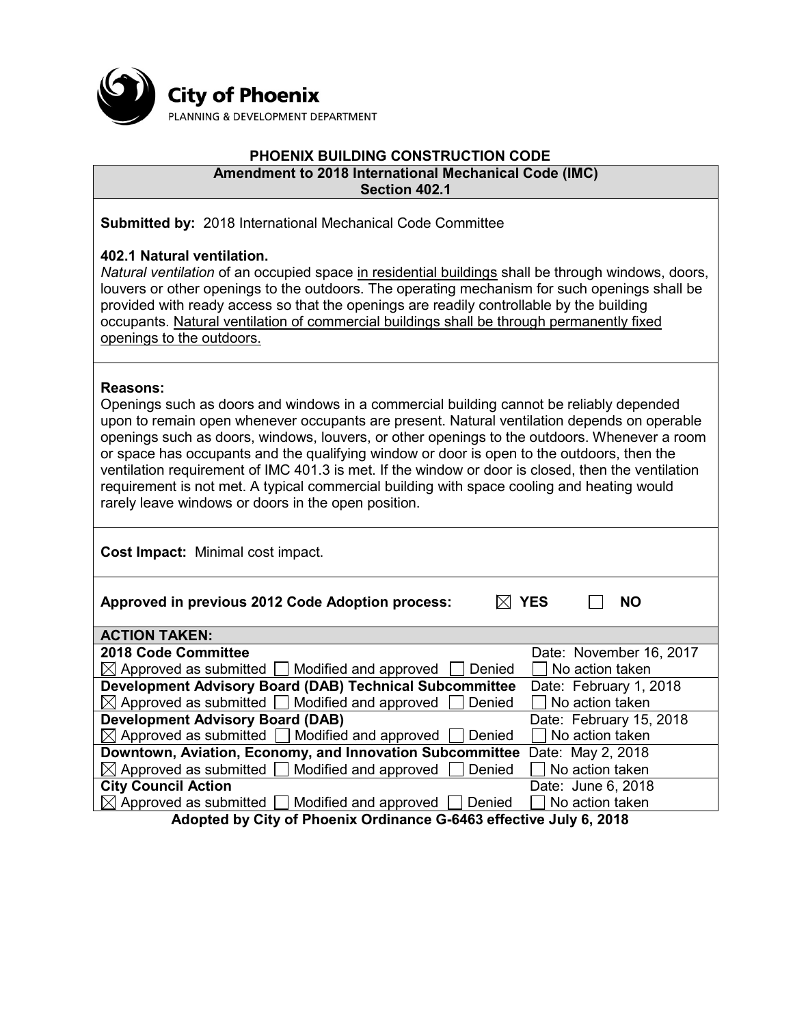

#### **PHOENIX BUILDING CONSTRUCTION CODE Amendment to 2018 International Mechanical Code (IMC) Section 402.1**

**Submitted by:** 2018 International Mechanical Code Committee

### **402.1 Natural ventilation.**

*Natural ventilation* of an occupied space in residential buildings shall be through windows, doors, louvers or other openings to the outdoors. The operating mechanism for such openings shall be provided with ready access so that the openings are readily controllable by the building occupants. Natural ventilation of commercial buildings shall be through permanently fixed openings to the outdoors.

#### **Reasons:**

Openings such as doors and windows in a commercial building cannot be reliably depended upon to remain open whenever occupants are present. Natural ventilation depends on operable openings such as doors, windows, louvers, or other openings to the outdoors. Whenever a room or space has occupants and the qualifying window or door is open to the outdoors, then the ventilation requirement of IMC 401.3 is met. If the window or door is closed, then the ventilation requirement is not met. A typical commercial building with space cooling and heating would rarely leave windows or doors in the open position.

**Cost Impact:** Minimal cost impact. **Approved in previous 2012 Code Adoption process:**  $\boxtimes$  **YES**  $\Box$  **NO ACTION TAKEN: 2018 Code Committee** Date: November 16, 2017  $\boxtimes$  Approved as submitted  $\Box$  Modified and approved  $\Box$  Denied  $\Box$  No action taken<br>**Development Advisory Board (DAB) Technical Subcommittee** Date: February 1, 2018 **Development Advisory Board (DAB) Technical Subcommittee** Date: February 1, 2<br> **∞** Approved as submitted **■** Modified and approved ■ Denied ■ No action taken  $\boxed{\times}$  **Approved as submitted**  Modified and approved Denied Disortion taken **Development Advisory Board (DAB)** Date: February 15, 2018 **Development Advisory Board (DAB)** Development **Advisory Board (DAB)** Date: February 15, <br>
⊠ Approved as submitted **Development and approved Denied** Denigned aken  $\boxtimes$  Approved as submitted  $\Box$  Modified and approved  $\Box$  Denied **Downtown, Aviation, Economy, and Innovation Subcommittee** Date: May 2, 2018<br>  $\boxtimes$  Approved as submitted **□** Modified and approved □ Denied □ No action taken △Approved as submitted and approved and approved Approid Action taken City Council Action and approved Denied Action 2018 **City Council Action** Date: June 6, 2018<br>
<br>
⊠ Approved as submitted **Delayed and approved** Denied **Delayed Delayed D** No action taken  $\boxtimes$  Approved as submitted  $\Box$  Modified and approved  $\Box$  Denied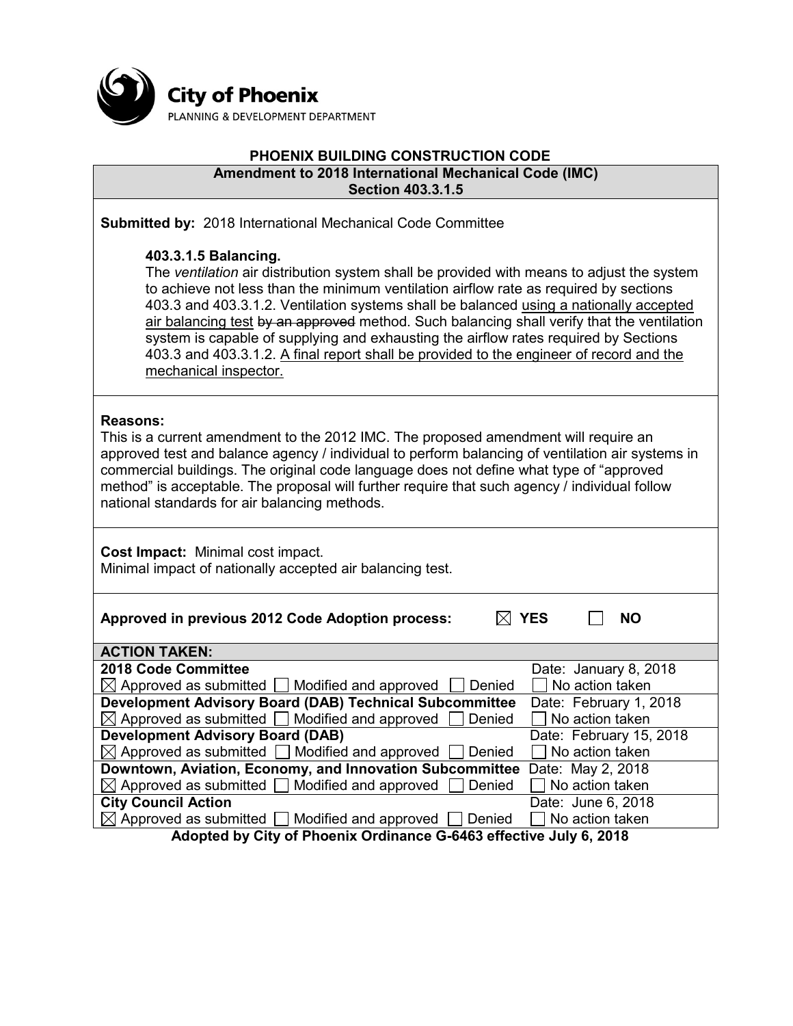

#### **PHOENIX BUILDING CONSTRUCTION CODE Amendment to 2018 International Mechanical Code (IMC) Section 403.3.1.5**

**Submitted by:** 2018 International Mechanical Code Committee

#### **403.3.1.5 Balancing.**

The *ventilation* air distribution system shall be provided with means to adjust the system to achieve not less than the minimum ventilation airflow rate as required by sections 403.3 and 403.3.1.2. Ventilation systems shall be balanced using a nationally accepted air balancing test by an approved method. Such balancing shall verify that the ventilation system is capable of supplying and exhausting the airflow rates required by Sections 403.3 and 403.3.1.2. A final report shall be provided to the engineer of record and the mechanical inspector.

#### **Reasons:**

This is a current amendment to the 2012 IMC. The proposed amendment will require an approved test and balance agency / individual to perform balancing of ventilation air systems in commercial buildings. The original code language does not define what type of "approved method" is acceptable. The proposal will further require that such agency / individual follow national standards for air balancing methods.

**Cost Impact:** Minimal cost impact. Minimal impact of nationally accepted air balancing test.

| Approved in previous 2012 Code Adoption process:                         | <b>YES</b><br><b>NO</b> |
|--------------------------------------------------------------------------|-------------------------|
| <b>ACTION TAKEN:</b>                                                     |                         |
| 2018 Code Committee                                                      | Date: January 8, 2018   |
| $\boxtimes$ Approved as submitted $\Box$ Modified and approved<br>Denied | No action taken         |
| <b>Development Advisory Board (DAB) Technical Subcommittee</b>           | Date: February 1, 2018  |
| $\boxtimes$ Approved as submitted $\Box$ Modified and approved<br>Denied | No action taken         |
| <b>Development Advisory Board (DAB)</b>                                  | Date: February 15, 2018 |
| $\boxtimes$ Approved as submitted $\Box$ Modified and approved<br>Denied | No action taken         |
| Downtown, Aviation, Economy, and Innovation Subcommittee                 | Date: May 2, 2018       |
| $\boxtimes$ Approved as submitted $\Box$ Modified and approved<br>Denied | No action taken         |
| <b>City Council Action</b>                                               | Date: June 6, 2018      |
| $\boxtimes$ Approved as submitted<br>Modified and approved<br>Denied     | No action taken         |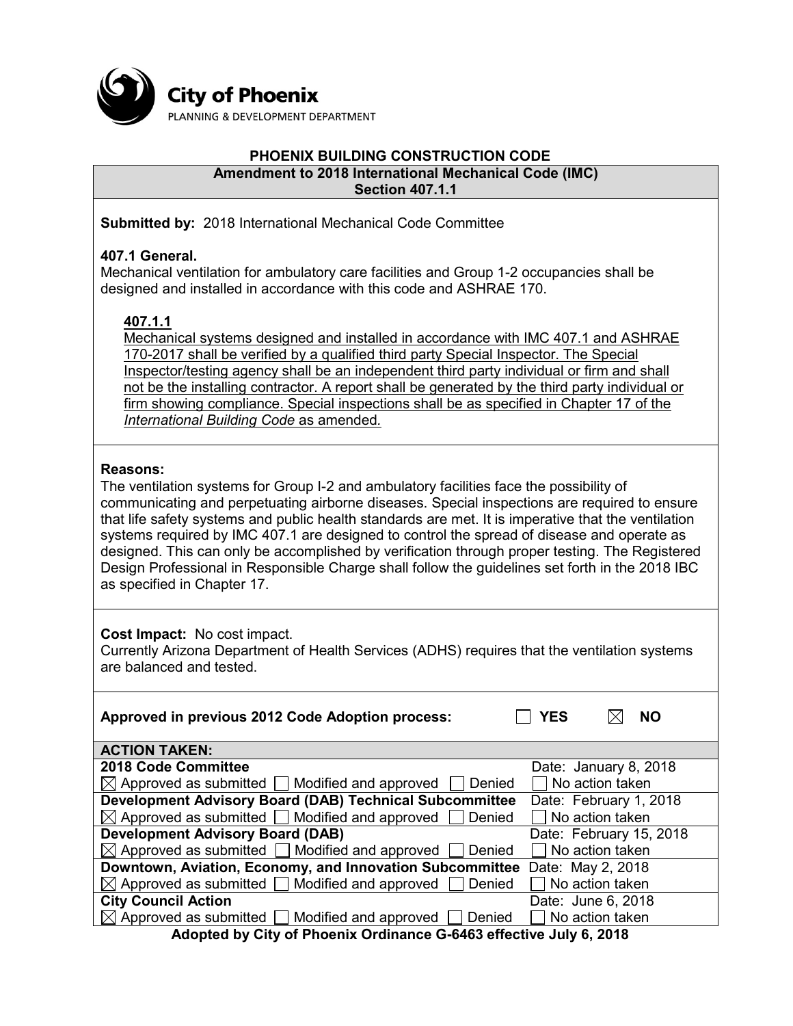

#### **PHOENIX BUILDING CONSTRUCTION CODE Amendment to 2018 International Mechanical Code (IMC) Section 407.1.1**

**Submitted by:** 2018 International Mechanical Code Committee

### **407.1 General.**

Mechanical ventilation for ambulatory care facilities and Group 1-2 occupancies shall be designed and installed in accordance with this code and ASHRAE 170.

### **407.1.1**

Mechanical systems designed and installed in accordance with IMC 407.1 and ASHRAE 170-2017 shall be verified by a qualified third party Special Inspector. The Special Inspector/testing agency shall be an independent third party individual or firm and shall not be the installing contractor. A report shall be generated by the third party individual or firm showing compliance. Special inspections shall be as specified in Chapter 17 of the *International Building Code* as amended*.*

### **Reasons:**

The ventilation systems for Group I-2 and ambulatory facilities face the possibility of communicating and perpetuating airborne diseases. Special inspections are required to ensure that life safety systems and public health standards are met. It is imperative that the ventilation systems required by IMC 407.1 are designed to control the spread of disease and operate as designed. This can only be accomplished by verification through proper testing. The Registered Design Professional in Responsible Charge shall follow the guidelines set forth in the 2018 IBC as specified in Chapter 17.

**Cost Impact:** No cost impact.

Currently Arizona Department of Health Services (ADHS) requires that the ventilation systems are balanced and tested.

| Approved in previous 2012 Code Adoption process:                         | <b>YES</b>              | <b>NO</b>              |  |
|--------------------------------------------------------------------------|-------------------------|------------------------|--|
| <b>ACTION TAKEN:</b>                                                     |                         |                        |  |
| 2018 Code Committee                                                      |                         | Date: January 8, 2018  |  |
| $\boxtimes$ Approved as submitted $\Box$ Modified and approved<br>Denied |                         | No action taken        |  |
| <b>Development Advisory Board (DAB) Technical Subcommittee</b>           |                         | Date: February 1, 2018 |  |
| $\boxtimes$ Approved as submitted $\Box$ Modified and approved<br>Denied |                         | No action taken        |  |
| <b>Development Advisory Board (DAB)</b>                                  | Date: February 15, 2018 |                        |  |
| $\boxtimes$ Approved as submitted $\Box$ Modified and approved<br>Denied |                         | No action taken        |  |
| Downtown, Aviation, Economy, and Innovation Subcommittee                 | Date: May 2, 2018       |                        |  |
| $\boxtimes$ Approved as submitted $\Box$ Modified and approved<br>Denied |                         | No action taken        |  |
| <b>City Council Action</b>                                               | Date: June 6, 2018      |                        |  |
| $\boxtimes$ Approved as submitted $\Box$ Modified and approved<br>Denied |                         | No action taken        |  |
| Adopted by City of Phoenix Ordinance G-6463 effective July 6, 2018       |                         |                        |  |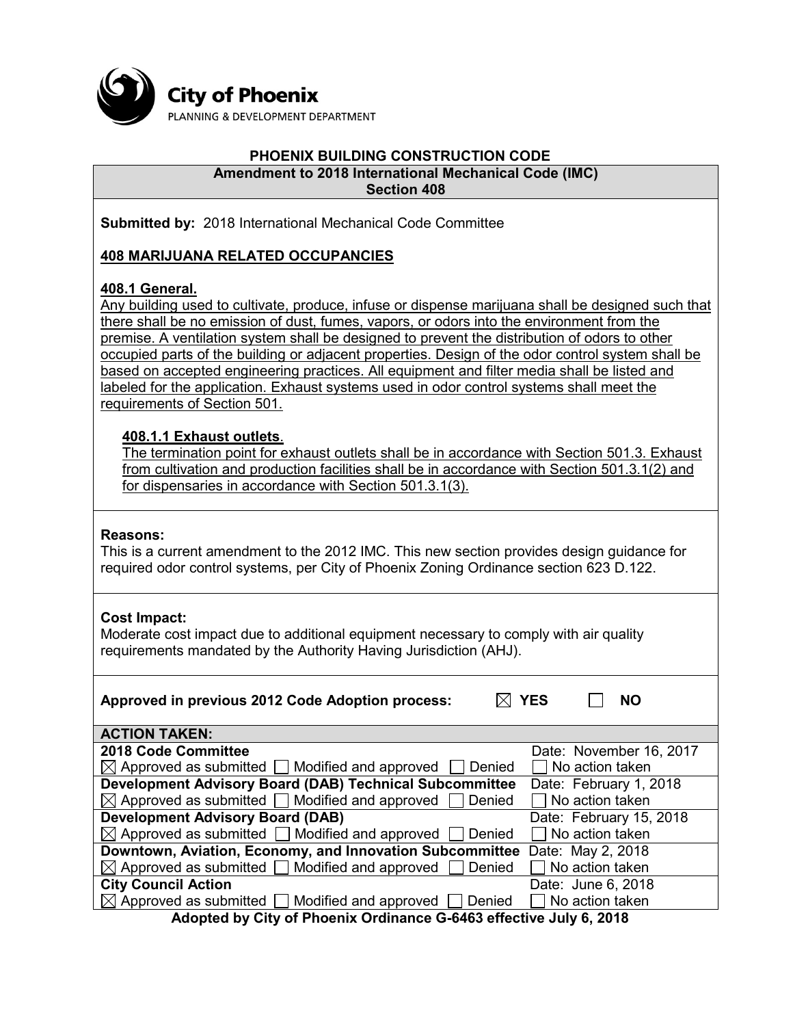

#### **PHOENIX BUILDING CONSTRUCTION CODE Amendment to 2018 International Mechanical Code (IMC)**

**Section 408**

**Submitted by:** 2018 International Mechanical Code Committee

# **408 MARIJUANA RELATED OCCUPANCIES**

## **408.1 General.**

Any building used to cultivate, produce, infuse or dispense marijuana shall be designed such that there shall be no emission of dust, fumes, vapors, or odors into the environment from the premise. A ventilation system shall be designed to prevent the distribution of odors to other occupied parts of the building or adjacent properties. Design of the odor control system shall be based on accepted engineering practices. All equipment and filter media shall be listed and labeled for the application. Exhaust systems used in odor control systems shall meet the requirements of Section 501.

### **408.1.1 Exhaust outlets**.

The termination point for exhaust outlets shall be in accordance with Section 501.3. Exhaust from cultivation and production facilities shall be in accordance with Section 501.3.1(2) and for dispensaries in accordance with Section 501.3.1(3).

### **Reasons:**

This is a current amendment to the 2012 IMC. This new section provides design guidance for required odor control systems, per City of Phoenix Zoning Ordinance section 623 D.122.

### **Cost Impact:**

Moderate cost impact due to additional equipment necessary to comply with air quality requirements mandated by the Authority Having Jurisdiction (AHJ).

| Approved in previous 2012 Code Adoption process:                                | <b>YES</b><br><b>NO</b> |  |  |
|---------------------------------------------------------------------------------|-------------------------|--|--|
| <b>ACTION TAKEN:</b>                                                            |                         |  |  |
| 2018 Code Committee                                                             | Date: November 16, 2017 |  |  |
| $\boxtimes$ Approved as submitted $\Box$ Modified and approved<br>Denied        | No action taken         |  |  |
| Development Advisory Board (DAB) Technical Subcommittee                         | Date: February 1, 2018  |  |  |
| $\boxtimes$ Approved as submitted $\Box$ Modified and approved<br>Denied        | No action taken         |  |  |
| <b>Development Advisory Board (DAB)</b>                                         | Date: February 15, 2018 |  |  |
| $\boxtimes$ Approved as submitted $\Box$ Modified and approved<br>Denied        | No action taken         |  |  |
| Downtown, Aviation, Economy, and Innovation Subcommittee                        | Date: May 2, 2018       |  |  |
| $\boxtimes$ Approved as submitted $\Box$ Modified and approved<br>Denied        | No action taken         |  |  |
| <b>City Council Action</b>                                                      | Date: June 6, 2018      |  |  |
| $\boxtimes$ Approved as submitted $\Box$ Modified and approved $\Box$<br>Denied | No action taken         |  |  |
| Adopted by City of Phoenix Ordinance G-6463 effective July 6, 2018              |                         |  |  |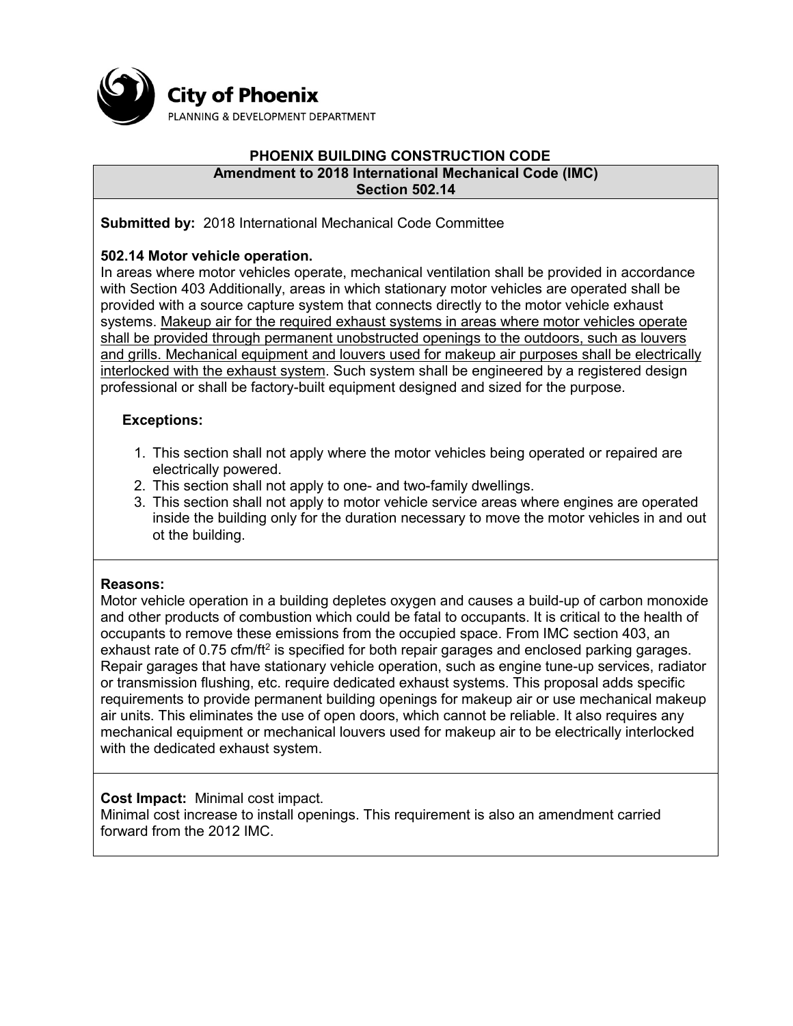

#### **PHOENIX BUILDING CONSTRUCTION CODE Amendment to 2018 International Mechanical Code (IMC) Section 502.14**

**Submitted by:** 2018 International Mechanical Code Committee

### **502.14 Motor vehicle operation.**

In areas where motor vehicles operate, mechanical ventilation shall be provided in accordance with Section 403 Additionally, areas in which stationary motor vehicles are operated shall be provided with a source capture system that connects directly to the motor vehicle exhaust systems. Makeup air for the required exhaust systems in areas where motor vehicles operate shall be provided through permanent unobstructed openings to the outdoors, such as louvers and grills. Mechanical equipment and louvers used for makeup air purposes shall be electrically interlocked with the exhaust system. Such system shall be engineered by a registered design professional or shall be factory-built equipment designed and sized for the purpose.

### **Exceptions:**

- 1. This section shall not apply where the motor vehicles being operated or repaired are electrically powered.
- 2. This section shall not apply to one- and two-family dwellings.
- 3. This section shall not apply to motor vehicle service areas where engines are operated inside the building only for the duration necessary to move the motor vehicles in and out ot the building.

### **Reasons:**

Motor vehicle operation in a building depletes oxygen and causes a build-up of carbon monoxide and other products of combustion which could be fatal to occupants. It is critical to the health of occupants to remove these emissions from the occupied space. From IMC section 403, an exhaust rate of 0.75 cfm/ft<sup>2</sup> is specified for both repair garages and enclosed parking garages. Repair garages that have stationary vehicle operation, such as engine tune-up services, radiator or transmission flushing, etc. require dedicated exhaust systems. This proposal adds specific requirements to provide permanent building openings for makeup air or use mechanical makeup air units. This eliminates the use of open doors, which cannot be reliable. It also requires any mechanical equipment or mechanical louvers used for makeup air to be electrically interlocked with the dedicated exhaust system.

**Cost Impact:** Minimal cost impact.

Minimal cost increase to install openings. This requirement is also an amendment carried forward from the 2012 IMC.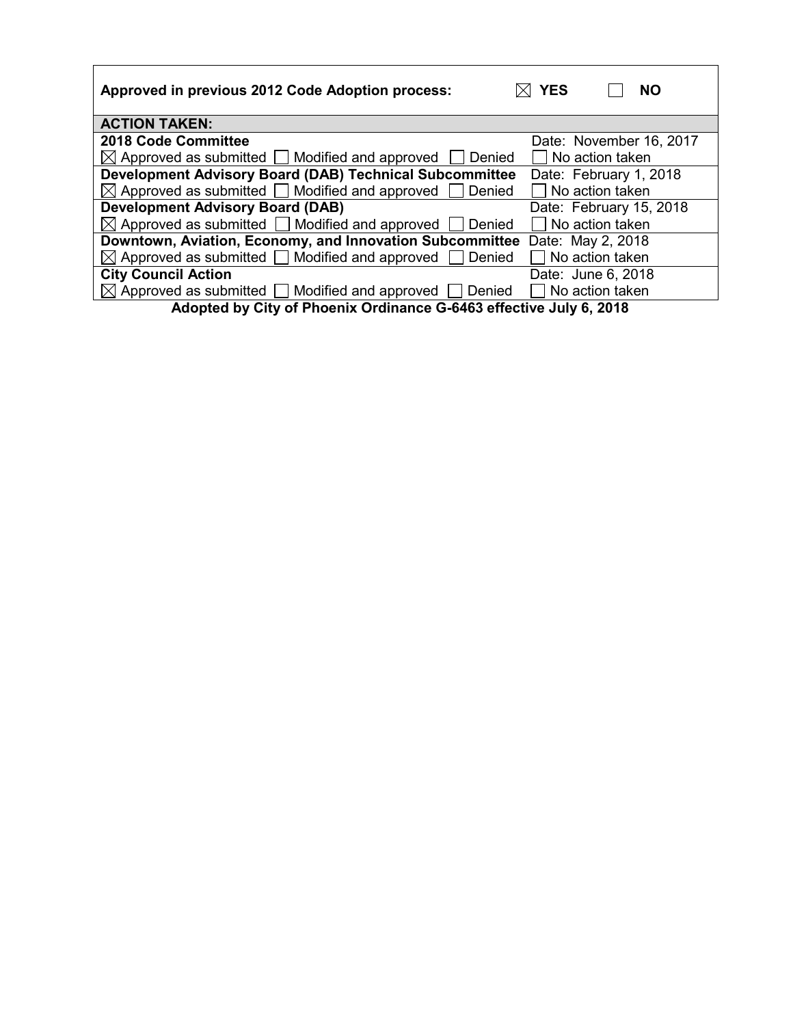| Approved in previous 2012 Code Adoption process:                                | <b>YES</b>         | <b>NO</b>               |  |
|---------------------------------------------------------------------------------|--------------------|-------------------------|--|
| <b>ACTION TAKEN:</b>                                                            |                    |                         |  |
| 2018 Code Committee                                                             |                    | Date: November 16, 2017 |  |
| $\boxtimes$ Approved as submitted $\Box$ Modified and approved<br>Denied        | No action taken    |                         |  |
| <b>Development Advisory Board (DAB) Technical Subcommittee</b>                  |                    | Date: February 1, 2018  |  |
| $\boxtimes$ Approved as submitted $\Box$ Modified and approved<br>Denied        | No action taken    |                         |  |
| <b>Development Advisory Board (DAB)</b>                                         |                    | Date: February 15, 2018 |  |
| $\boxtimes$ Approved as submitted $\Box$ Modified and approved<br>Denied        | No action taken    |                         |  |
| Downtown, Aviation, Economy, and Innovation Subcommittee                        | Date: May 2, 2018  |                         |  |
| $\boxtimes$ Approved as submitted $\Box$ Modified and approved<br>Denied        | No action taken    |                         |  |
| <b>City Council Action</b>                                                      | Date: June 6, 2018 |                         |  |
| $\boxtimes$ Approved as submitted $\Box$ Modified and approved $\Box$<br>Denied | No action taken    |                         |  |
| Adopted by City of Phoenix Ordinance G-6463 effective July 6, 2018              |                    |                         |  |

Ш

Г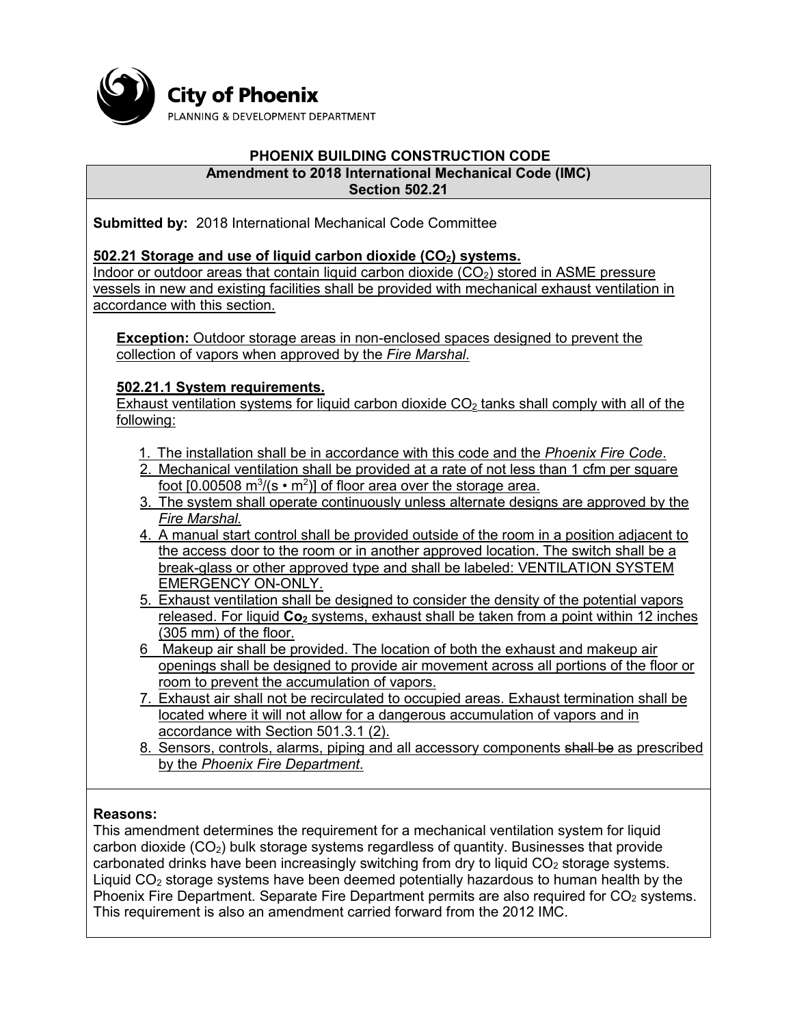

#### **PHOENIX BUILDING CONSTRUCTION CODE Amendment to 2018 International Mechanical Code (IMC) Section 502.21**

**Submitted by:** 2018 International Mechanical Code Committee

### **502.21 Storage and use of liquid carbon dioxide (CO<sub>2</sub>) systems.**

Indoor or outdoor areas that contain liquid carbon dioxide  $(CO<sub>2</sub>)$  stored in ASME pressure vessels in new and existing facilities shall be provided with mechanical exhaust ventilation in accordance with this section.

**Exception:** Outdoor storage areas in non-enclosed spaces designed to prevent the collection of vapors when approved by the *Fire Marshal*.

### **502.21.1 System requirements.**

Exhaust ventilation systems for liquid carbon dioxide  $CO<sub>2</sub>$  tanks shall comply with all of the following:

- 1. The installation shall be in accordance with this code and the *Phoenix Fire Code*.
- 2. Mechanical ventilation shall be provided at a rate of not less than 1 cfm per square foot [0.00508 m $^{3}$ /(s  $\cdot$  m $^{2}$ )] of floor area over the storage area.
- 3. The system shall operate continuously unless alternate designs are approved by the *Fire Marshal.*
- 4. A manual start control shall be provided outside of the room in a position adjacent to the access door to the room or in another approved location. The switch shall be a break-glass or other approved type and shall be labeled: VENTILATION SYSTEM EMERGENCY ON-ONLY.
- 5. Exhaust ventilation shall be designed to consider the density of the potential vapors released. For liquid **Co**<sub>2</sub> systems, exhaust shall be taken from a point within 12 inches (305 mm) of the floor.
- 6 Makeup air shall be provided. The location of both the exhaust and makeup air openings shall be designed to provide air movement across all portions of the floor or room to prevent the accumulation of vapors.
- 7. Exhaust air shall not be recirculated to occupied areas. Exhaust termination shall be located where it will not allow for a dangerous accumulation of vapors and in accordance with Section 501.3.1 (2).
- 8. Sensors, controls, alarms, piping and all accessory components shall be as prescribed by the *Phoenix Fire Department*.

## **Reasons:**

This amendment determines the requirement for a mechanical ventilation system for liquid carbon dioxide  $(CO<sub>2</sub>)$  bulk storage systems regardless of quantity. Businesses that provide carbonated drinks have been increasingly switching from dry to liquid  $CO<sub>2</sub>$  storage systems. Liquid  $CO<sub>2</sub>$  storage systems have been deemed potentially hazardous to human health by the Phoenix Fire Department. Separate Fire Department permits are also required for  $CO<sub>2</sub>$  systems. This requirement is also an amendment carried forward from the 2012 IMC.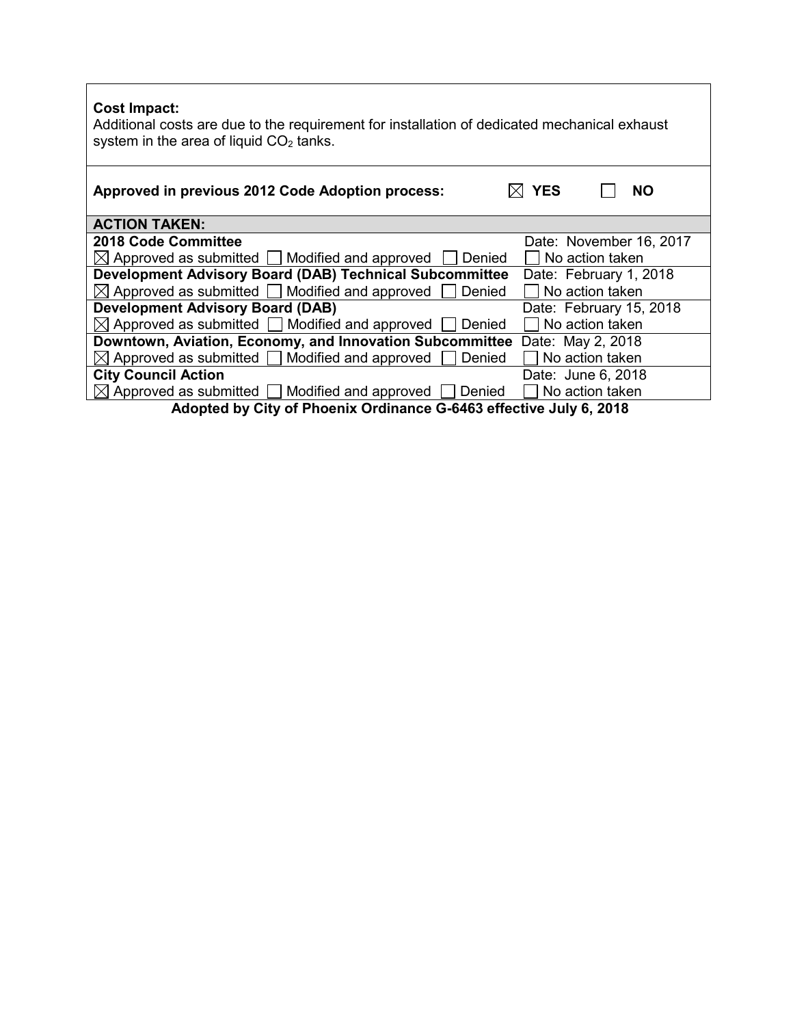| <b>Cost Impact:</b><br>Additional costs are due to the requirement for installation of dedicated mechanical exhaust<br>system in the area of liquid CO <sub>2</sub> tanks. |                         |
|----------------------------------------------------------------------------------------------------------------------------------------------------------------------------|-------------------------|
| Approved in previous 2012 Code Adoption process:                                                                                                                           | <b>YES</b><br><b>NO</b> |
| <b>ACTION TAKEN:</b>                                                                                                                                                       |                         |
| 2018 Code Committee                                                                                                                                                        | Date: November 16, 2017 |
| $\boxtimes$ Approved as submitted $\Box$ Modified and approved<br>Denied                                                                                                   | No action taken         |
| <b>Development Advisory Board (DAB) Technical Subcommittee</b>                                                                                                             | Date: February 1, 2018  |
| $\boxtimes$ Approved as submitted $\Box$ Modified and approved<br>Denied                                                                                                   | No action taken         |
| <b>Development Advisory Board (DAB)</b>                                                                                                                                    | Date: February 15, 2018 |
| $\boxtimes$ Approved as submitted $\Box$ Modified and approved<br>Denied                                                                                                   | No action taken         |
| Downtown, Aviation, Economy, and Innovation Subcommittee                                                                                                                   | Date: May 2, 2018       |
| $\boxtimes$ Approved as submitted $\Box$ Modified and approved<br>Denied                                                                                                   | No action taken         |
| <b>City Council Action</b>                                                                                                                                                 | Date: June 6, 2018      |
| $\boxtimes$ Approved as submitted<br>Modified and approved<br>Denied                                                                                                       | No action taken         |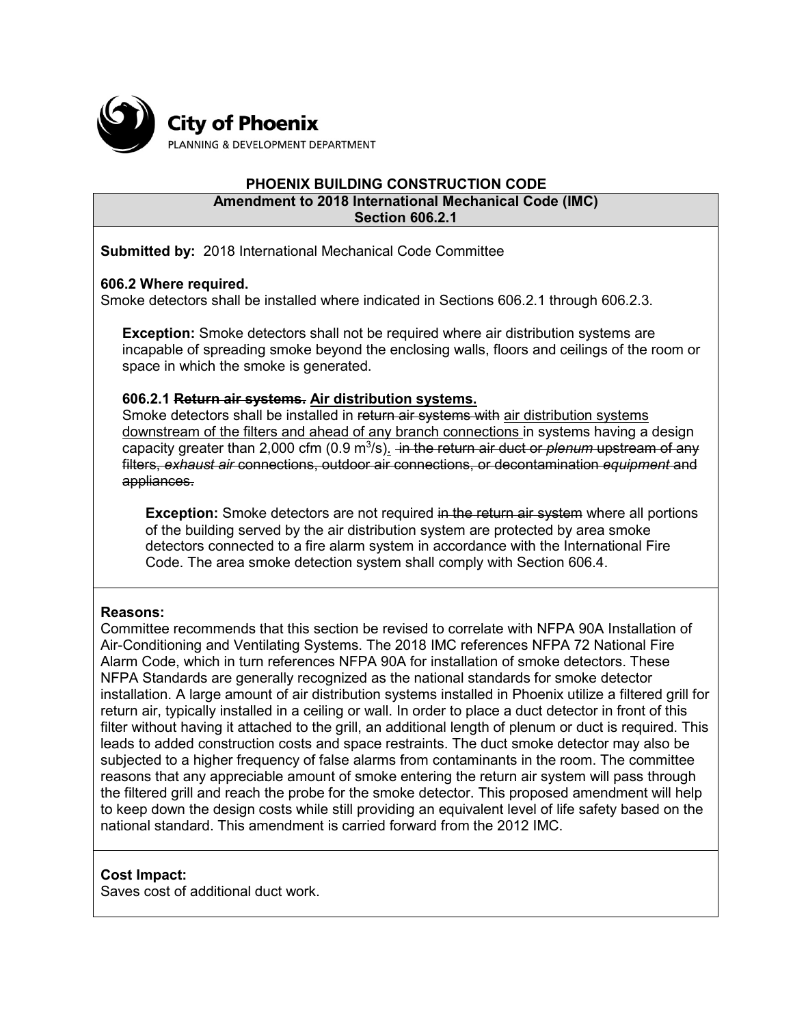

# **PHOENIX BUILDING CONSTRUCTION CODE**

**Amendment to 2018 International Mechanical Code (IMC) Section 606.2.1**

**Submitted by:** 2018 International Mechanical Code Committee

### **606.2 Where required.**

Smoke detectors shall be installed where indicated in Sections 606.2.1 through 606.2.3.

**Exception:** Smoke detectors shall not be required where air distribution systems are incapable of spreading smoke beyond the enclosing walls, floors and ceilings of the room or space in which the smoke is generated.

### **606.2.1 Return air systems. Air distribution systems.**

Smoke detectors shall be installed in return air systems with air distribution systems downstream of the filters and ahead of any branch connections in systems having a design capacity greater than 2,000 cfm (0.9 m<sup>3</sup>/s). <del>In the return air duct or *plenum* upstream of any</del> filters, *exhaust air* connections, outdoor air connections, or decontamination *equipment* and appliances.

**Exception:** Smoke detectors are not required in the return air system where all portions of the building served by the air distribution system are protected by area smoke detectors connected to a fire alarm system in accordance with the International Fire Code. The area smoke detection system shall comply with Section 606.4.

## **Reasons:**

Committee recommends that this section be revised to correlate with NFPA 90A Installation of Air-Conditioning and Ventilating Systems. The 2018 IMC references NFPA 72 National Fire Alarm Code, which in turn references NFPA 90A for installation of smoke detectors. These NFPA Standards are generally recognized as the national standards for smoke detector installation. A large amount of air distribution systems installed in Phoenix utilize a filtered grill for return air, typically installed in a ceiling or wall. In order to place a duct detector in front of this filter without having it attached to the grill, an additional length of plenum or duct is required. This leads to added construction costs and space restraints. The duct smoke detector may also be subjected to a higher frequency of false alarms from contaminants in the room. The committee reasons that any appreciable amount of smoke entering the return air system will pass through the filtered grill and reach the probe for the smoke detector. This proposed amendment will help to keep down the design costs while still providing an equivalent level of life safety based on the national standard. This amendment is carried forward from the 2012 IMC.

### **Cost Impact:**

Saves cost of additional duct work.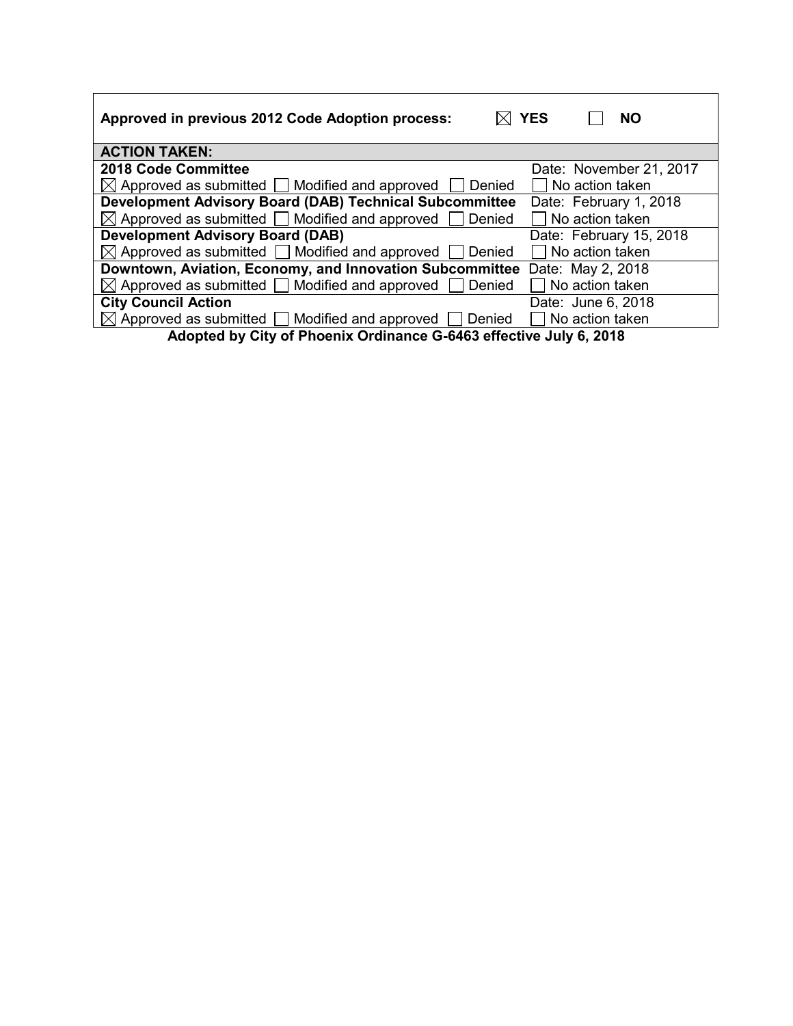| Approved in previous 2012 Code Adoption process:                           | <b>YES</b><br><b>NO</b> |  |
|----------------------------------------------------------------------------|-------------------------|--|
| <b>ACTION TAKEN:</b>                                                       |                         |  |
| 2018 Code Committee                                                        | Date: November 21, 2017 |  |
| $\boxtimes$ Approved as submitted $\Box$ Modified and approved<br>Denied   | No action taken         |  |
| <b>Development Advisory Board (DAB) Technical Subcommittee</b>             | Date: February 1, 2018  |  |
| $\boxtimes$ Approved as submitted $\Box$ Modified and approved<br>Denied   | No action taken         |  |
| <b>Development Advisory Board (DAB)</b>                                    | Date: February 15, 2018 |  |
| $\boxtimes$ Approved as submitted $\Box$ Modified and approved<br>Denied   | No action taken         |  |
| Downtown, Aviation, Economy, and Innovation Subcommittee                   | Date: May 2, 2018       |  |
| $\boxtimes$ Approved as submitted $\Box$ Modified and approved<br>Denied   | No action taken         |  |
| <b>City Council Action</b>                                                 | Date: June 6, 2018      |  |
| $\boxtimes$ Approved as submitted $\Box$ Modified and approved  <br>Denied | No action taken         |  |
| Adopted by City of Phoenix Ordinance G-6463 effective July 6, 2018         |                         |  |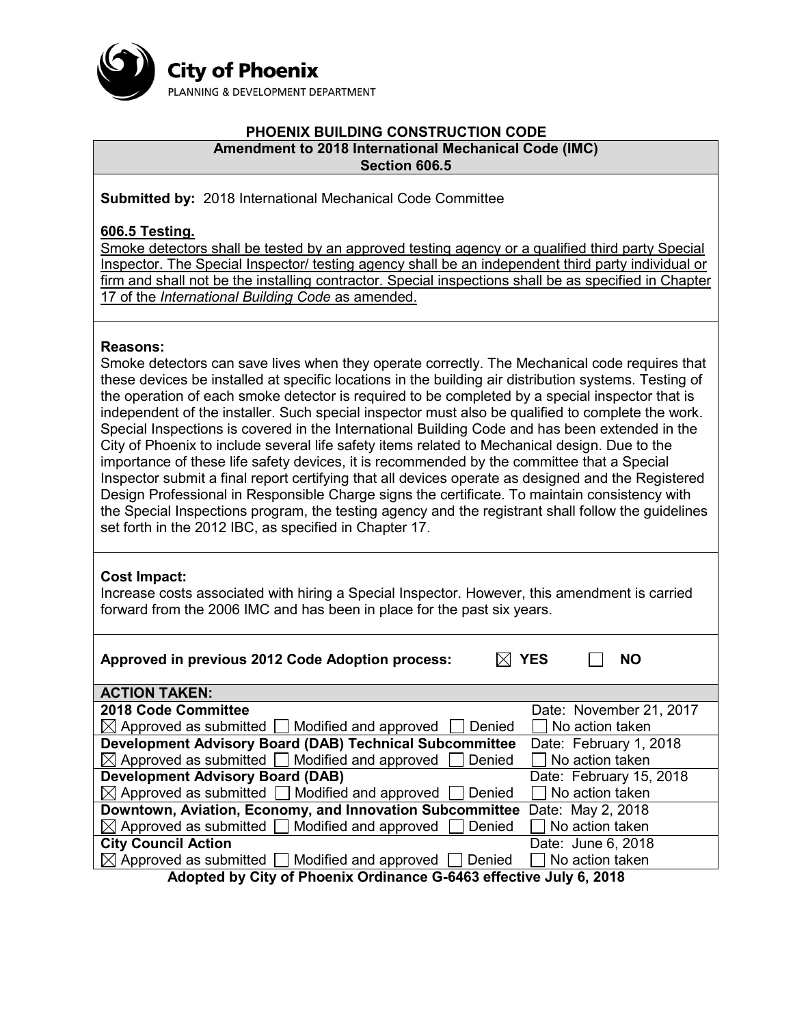

#### **PHOENIX BUILDING CONSTRUCTION CODE Amendment to 2018 International Mechanical Code (IMC) Section 606.5**

**Submitted by:** 2018 International Mechanical Code Committee

#### **606.5 Testing.**

Smoke detectors shall be tested by an approved testing agency or a qualified third party Special Inspector. The Special Inspector/ testing agency shall be an independent third party individual or firm and shall not be the installing contractor. Special inspections shall be as specified in Chapter 17 of the *International Building Code* as amended.

#### **Reasons:**

Smoke detectors can save lives when they operate correctly. The Mechanical code requires that these devices be installed at specific locations in the building air distribution systems. Testing of the operation of each smoke detector is required to be completed by a special inspector that is independent of the installer. Such special inspector must also be qualified to complete the work. Special Inspections is covered in the International Building Code and has been extended in the City of Phoenix to include several life safety items related to Mechanical design. Due to the importance of these life safety devices, it is recommended by the committee that a Special Inspector submit a final report certifying that all devices operate as designed and the Registered Design Professional in Responsible Charge signs the certificate. To maintain consistency with the Special Inspections program, the testing agency and the registrant shall follow the guidelines set forth in the 2012 IBC, as specified in Chapter 17.

### **Cost Impact:**

Increase costs associated with hiring a Special Inspector. However, this amendment is carried forward from the 2006 IMC and has been in place for the past six years.

| Approved in previous 2012 Code Adoption process:                         | <b>YES</b><br><b>NO</b> |
|--------------------------------------------------------------------------|-------------------------|
| <b>ACTION TAKEN:</b>                                                     |                         |
| 2018 Code Committee                                                      | Date: November 21, 2017 |
| $\boxtimes$ Approved as submitted $\Box$ Modified and approved<br>Denied | No action taken         |
| <b>Development Advisory Board (DAB) Technical Subcommittee</b>           | Date: February 1, 2018  |
| $\boxtimes$ Approved as submitted $\Box$ Modified and approved<br>Denied | No action taken         |
| <b>Development Advisory Board (DAB)</b>                                  | Date: February 15, 2018 |
| $\boxtimes$ Approved as submitted $\Box$ Modified and approved<br>Denied | No action taken         |
| Downtown, Aviation, Economy, and Innovation Subcommittee                 | Date: May 2, 2018       |
| $\boxtimes$ Approved as submitted $\Box$ Modified and approved<br>Denied | No action taken         |
| <b>City Council Action</b>                                               | Date: June 6, 2018      |
| $\boxtimes$ Approved as submitted $\Box$ Modified and approved<br>Denied | No action taken         |
| Adopted by City of Phoenix Ordinance G-6463 effective July 6, 2018       |                         |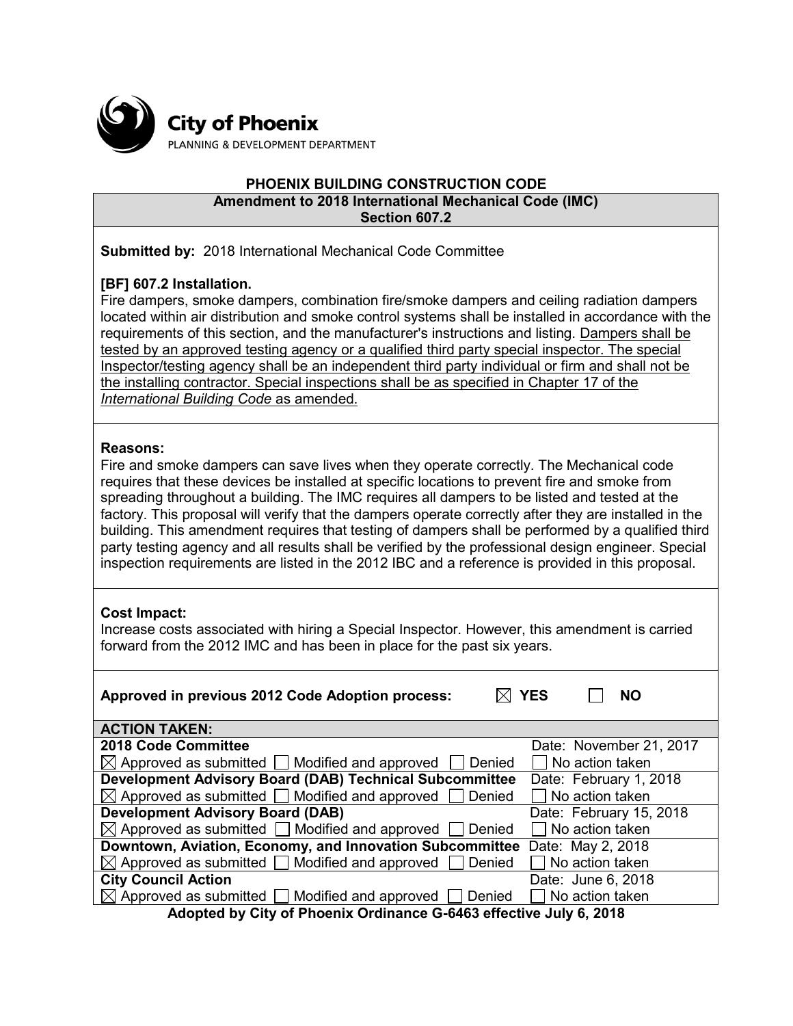

### **PHOENIX BUILDING CONSTRUCTION CODE Amendment to 2018 International Mechanical Code (IMC) Section 607.2**

**Submitted by:** 2018 International Mechanical Code Committee

### **[BF] 607.2 Installation.**

Fire dampers, smoke dampers, combination fire/smoke dampers and ceiling radiation dampers located within air distribution and smoke control systems shall be installed in accordance with the requirements of this section, and the manufacturer's instructions and listing. Dampers shall be tested by an approved testing agency or a qualified third party special inspector. The special Inspector/testing agency shall be an independent third party individual or firm and shall not be the installing contractor. Special inspections shall be as specified in Chapter 17 of the *International Building Code* as amended.

#### **Reasons:**

Fire and smoke dampers can save lives when they operate correctly. The Mechanical code requires that these devices be installed at specific locations to prevent fire and smoke from spreading throughout a building. The IMC requires all dampers to be listed and tested at the factory. This proposal will verify that the dampers operate correctly after they are installed in the building. This amendment requires that testing of dampers shall be performed by a qualified third party testing agency and all results shall be verified by the professional design engineer. Special inspection requirements are listed in the 2012 IBC and a reference is provided in this proposal.

### **Cost Impact:**

Increase costs associated with hiring a Special Inspector. However, this amendment is carried forward from the 2012 IMC and has been in place for the past six years.

| Approved in previous 2012 Code Adoption process:                           | <b>YES</b><br><b>NO</b> |
|----------------------------------------------------------------------------|-------------------------|
| <b>ACTION TAKEN:</b>                                                       |                         |
| 2018 Code Committee                                                        | Date: November 21, 2017 |
| $\boxtimes$ Approved as submitted $\Box$ Modified and approved<br>Denied   | No action taken         |
| Development Advisory Board (DAB) Technical Subcommittee                    | Date: February 1, 2018  |
| $\boxtimes$ Approved as submitted $\Box$ Modified and approved<br>Denied   | No action taken         |
| <b>Development Advisory Board (DAB)</b>                                    | Date: February 15, 2018 |
| $\boxtimes$ Approved as submitted $\Box$ Modified and approved<br>Denied   | No action taken         |
| Downtown, Aviation, Economy, and Innovation Subcommittee                   | Date: May 2, 2018       |
| $\boxtimes$ Approved as submitted $\Box$ Modified and approved<br>Denied   | No action taken         |
| <b>City Council Action</b>                                                 | Date: June 6, 2018      |
| $\boxtimes$ Approved as submitted $\Box$ Modified and approved [<br>Denied | No action taken         |
| Adopted by City of Phoenix Ordinance C 6463 offective July 6, 2018         |                         |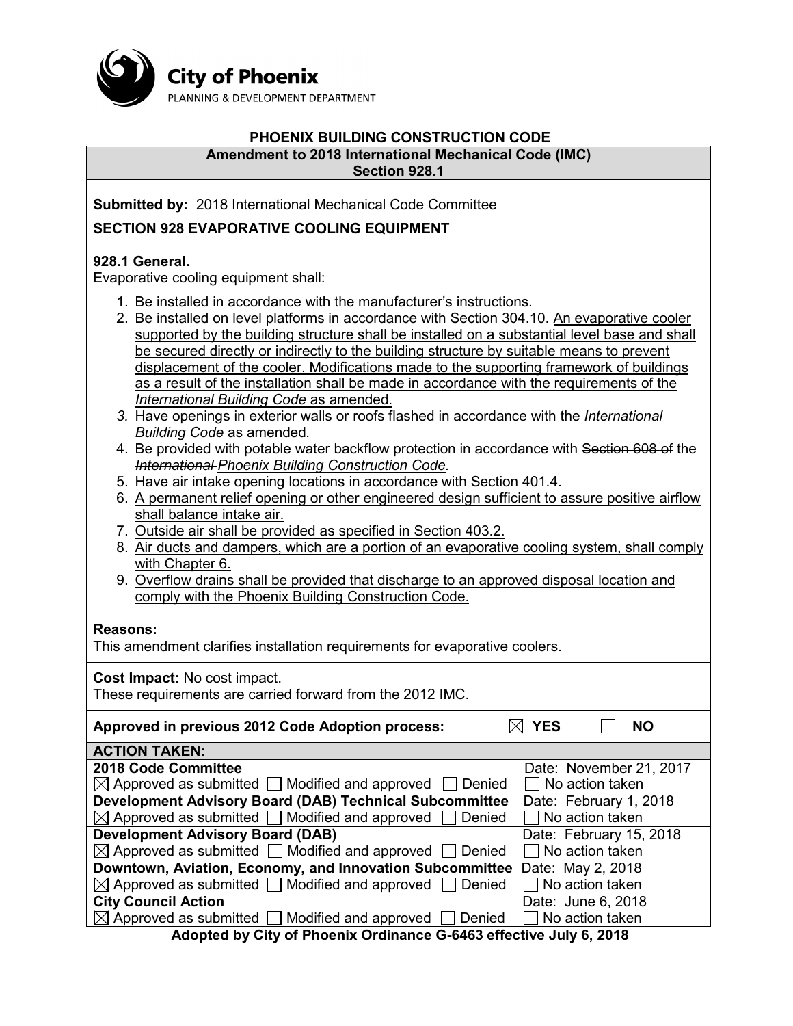

## **PHOENIX BUILDING CONSTRUCTION CODE**

**Amendment to 2018 International Mechanical Code (IMC)**

**Section 928.1**

**Submitted by:** 2018 International Mechanical Code Committee

# **SECTION 928 EVAPORATIVE COOLING EQUIPMENT**

### **928.1 General.**

Evaporative cooling equipment shall:

- 1. Be installed in accordance with the manufacturer's instructions.
- 2. Be installed on level platforms in accordance with Section 304.10. An evaporative cooler supported by the building structure shall be installed on a substantial level base and shall be secured directly or indirectly to the building structure by suitable means to prevent displacement of the cooler. Modifications made to the supporting framework of buildings as a result of the installation shall be made in accordance with the requirements of the *International Building Code* as amended.
- *3.* Have openings in exterior walls or roofs flashed in accordance with the *International Building Code* as amended*.*
- 4. Be provided with potable water backflow protection in accordance with Section 608 of the *International Phoenix Building Construction Code.*
- 5. Have air intake opening locations in accordance with Section 401.4.
- 6. A permanent relief opening or other engineered design sufficient to assure positive airflow shall balance intake air.
- 7. Outside air shall be provided as specified in Section 403.2.
- 8. Air ducts and dampers, which are a portion of an evaporative cooling system, shall comply with Chapter 6.
- 9. Overflow drains shall be provided that discharge to an approved disposal location and comply with the Phoenix Building Construction Code.

### **Reasons:**

This amendment clarifies installation requirements for evaporative coolers.

**Cost Impact:** No cost impact.

These requirements are carried forward from the 2012 IMC.

**Approved in previous 2012 Code Adoption process:**  $\boxtimes$  **YES**  $\Box$  **NO** 

| Date: November 21, 2017 |
|-------------------------|
| $\Box$ No action taken  |
| Date: February 1, 2018  |
| $\Box$ No action taken  |
| Date: February 15, 2018 |
| $\Box$ No action taken  |
| Date: May 2, 2018       |
| $\Box$ No action taken  |
| Date: June 6, 2018      |
| No action taken         |
|                         |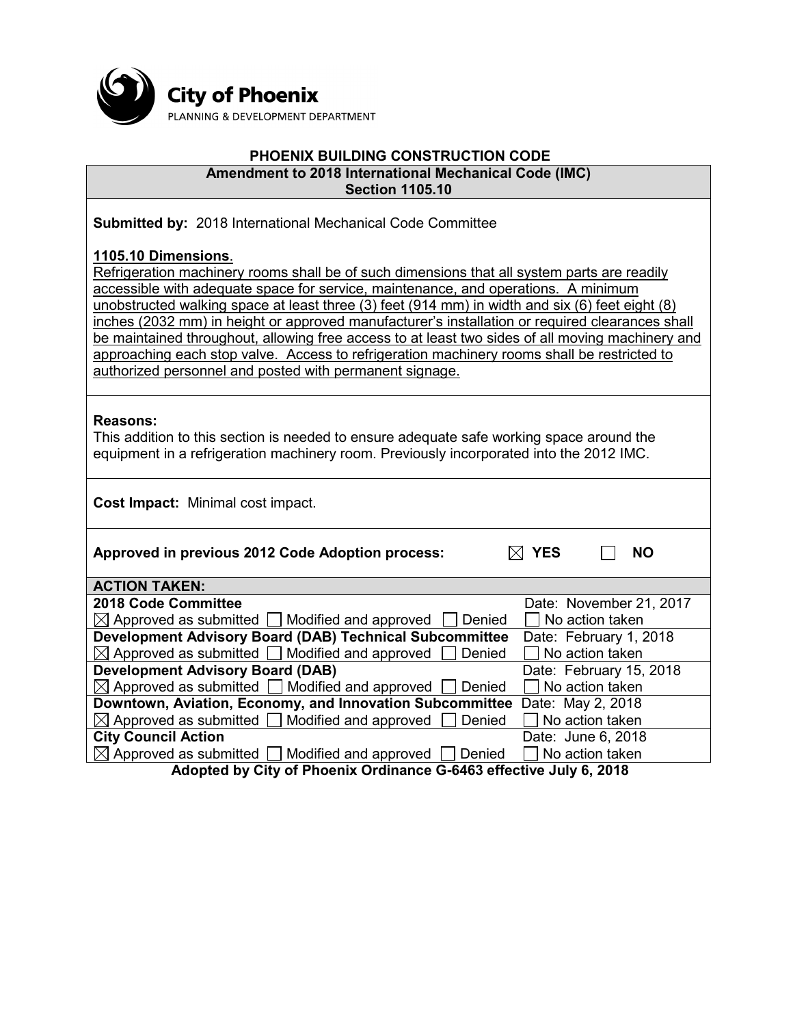

#### **PHOENIX BUILDING CONSTRUCTION CODE Amendment to 2018 International Mechanical Code (IMC) Section 1105.10**

**Submitted by:** 2018 International Mechanical Code Committee

### **1105.10 Dimensions**.

Refrigeration machinery rooms shall be of such dimensions that all system parts are readily accessible with adequate space for service, maintenance, and operations. A minimum unobstructed walking space at least three (3) feet (914 mm) in width and six (6) feet eight (8) inches (2032 mm) in height or approved manufacturer's installation or required clearances shall be maintained throughout, allowing free access to at least two sides of all moving machinery and approaching each stop valve. Access to refrigeration machinery rooms shall be restricted to authorized personnel and posted with permanent signage.

#### **Reasons:**

This addition to this section is needed to ensure adequate safe working space around the equipment in a refrigeration machinery room. Previously incorporated into the 2012 IMC.

**Cost Impact:** Minimal cost impact.

| Approved in previous 2012 Code Adoption process: | $\boxtimes$ YES | $\Box$ NO |  |
|--------------------------------------------------|-----------------|-----------|--|
|--------------------------------------------------|-----------------|-----------|--|

| <b>ACTION TAKEN:</b>                                                            |                         |
|---------------------------------------------------------------------------------|-------------------------|
| 2018 Code Committee                                                             | Date: November 21, 2017 |
| $\boxtimes$ Approved as submitted $\Box$ Modified and approved  <br>Denied      | $\Box$ No action taken  |
| <b>Development Advisory Board (DAB) Technical Subcommittee</b>                  | Date: February 1, 2018  |
| $\boxtimes$ Approved as submitted $\Box$ Modified and approved $\Box$<br>Denied | $\Box$ No action taken  |
| <b>Development Advisory Board (DAB)</b>                                         | Date: February 15, 2018 |
| $\boxtimes$ Approved as submitted $\Box$ Modified and approved $\Box$ Denied    | $\Box$ No action taken  |
| Downtown, Aviation, Economy, and Innovation Subcommittee                        | Date: May 2, 2018       |
| $\boxtimes$ Approved as submitted $\Box$ Modified and approved $\Box$ Denied    | $\Box$ No action taken  |
| <b>City Council Action</b>                                                      | Date: June 6, 2018      |
| $\boxtimes$ Approved as submitted $\Box$<br>Modified and approved<br>Denied     | No action taken         |
|                                                                                 |                         |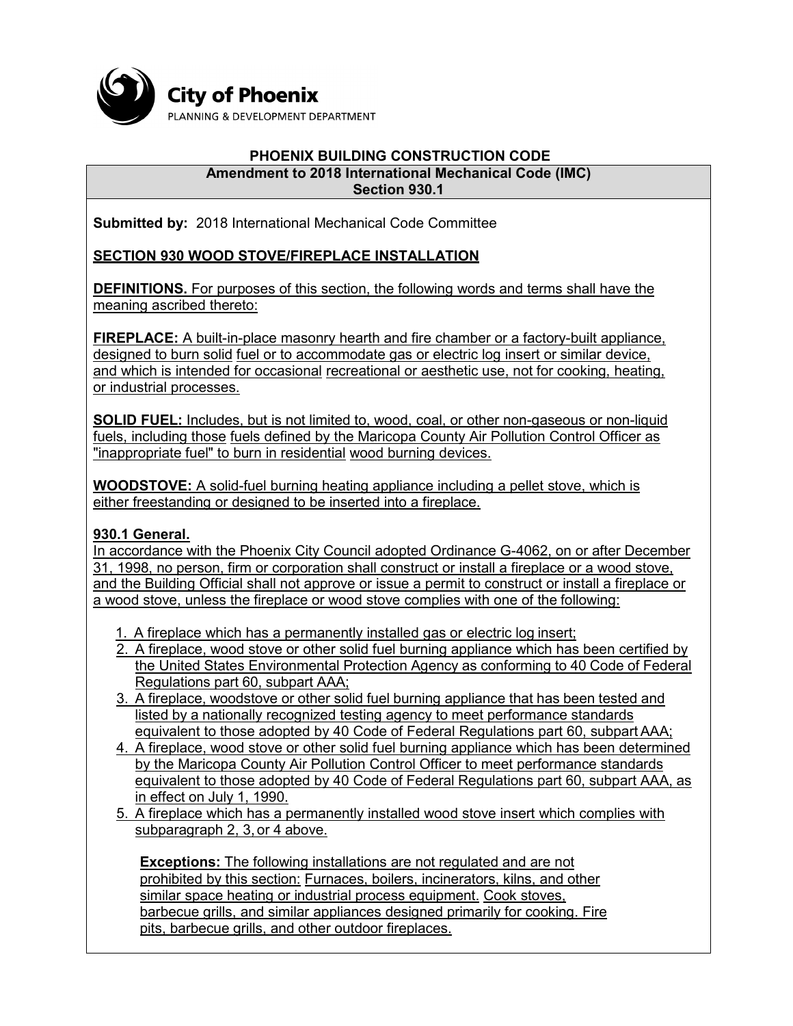

#### **PHOENIX BUILDING CONSTRUCTION CODE Amendment to 2018 International Mechanical Code (IMC) Section 930.1**

**Submitted by:** 2018 International Mechanical Code Committee

## **SECTION 930 WOOD STOVE/FIREPLACE INSTALLATION**

**DEFINITIONS.** For purposes of this section, the following words and terms shall have the meaning ascribed thereto:

**FIREPLACE:** A built-in-place masonry hearth and fire chamber or a factory-built appliance, designed to burn solid fuel or to accommodate gas or electric log insert or similar device, and which is intended for occasional recreational or aesthetic use, not for cooking, heating, or industrial processes.

**SOLID FUEL:** Includes, but is not limited to, wood, coal, or other non-gaseous or non-liquid fuels, including those fuels defined by the Maricopa County Air Pollution Control Officer as "inappropriate fuel" to burn in residential wood burning devices.

**WOODSTOVE:** A solid-fuel burning heating appliance including a pellet stove, which is either freestanding or designed to be inserted into a fireplace.

## **930.1 General.**

In accordance with the Phoenix City Council adopted Ordinance G-4062, on or after December 31, 1998, no person, firm or corporation shall construct or install a fireplace or a wood stove, and the Building Official shall not approve or issue a permit to construct or install a fireplace or a wood stove, unless the fireplace or wood stove complies with one of the following:

1. A fireplace which has a permanently installed gas or electric log insert;

- 2. A fireplace, wood stove or other solid fuel burning appliance which has been certified by the United States Environmental Protection Agency as conforming to 40 Code of Federal Regulations part 60, subpart AAA;
- 3. A fireplace, woodstove or other solid fuel burning appliance that has been tested and listed by a nationally recognized testing agency to meet performance standards equivalent to those adopted by 40 Code of Federal Regulations part 60, subpartAAA;
- 4. A fireplace, wood stove or other solid fuel burning appliance which has been determined by the Maricopa County Air Pollution Control Officer to meet performance standards equivalent to those adopted by 40 Code of Federal Regulations part 60, subpart AAA, as in effect on July 1, 1990.
- 5. A fireplace which has a permanently installed wood stove insert which complies with subparagraph 2, 3, or 4 above.

**Exceptions:** The following installations are not regulated and are not prohibited by this section: Furnaces, boilers, incinerators, kilns, and other similar space heating or industrial process equipment. Cook stoves, barbecue grills, and similar appliances designed primarily for cooking. Fire pits, barbecue grills, and other outdoor fireplaces.